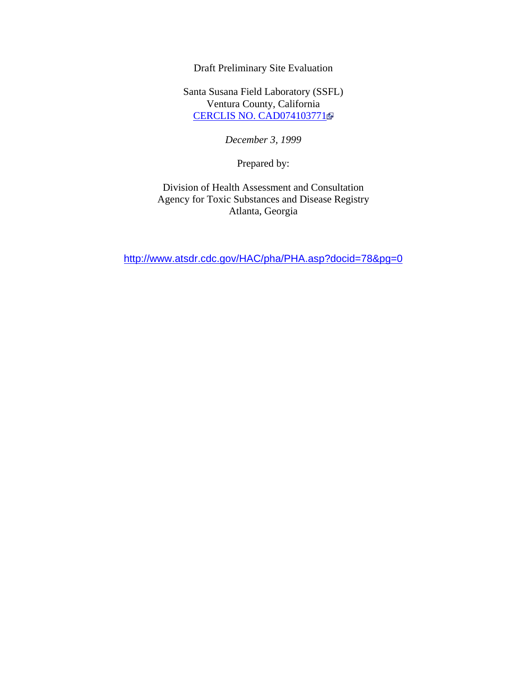Draft Preliminary Site Evaluation

Santa Susana Field Laboratory (SSFL) Ventura County, California CERCLIS NO. CAD074103771

*December 3, 1999*

Prepared by:

Division of Health Assessment and Consultation Agency for Toxic Substances and Disease Registry Atlanta, Georgia

http://www.atsdr.cdc.gov/HAC/pha/PHA.asp?docid=78&pg=0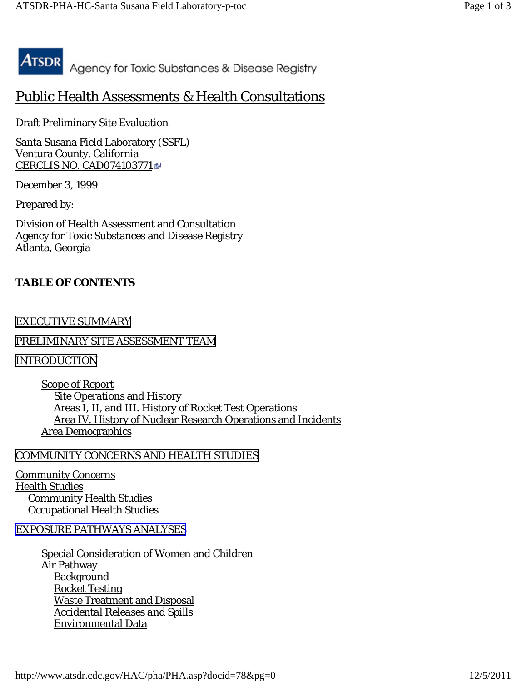

# Public Health Assessments & Health Consultations

Draft Preliminary Site Evaluation

Santa Susana Field Laboratory (SSFL) Ventura County, California CERCLIS NO. CAD074103771

*December 3, 1999*

Prepared by:

Division of Health Assessment and Consultation Agency for Toxic Substances and Disease Registry Atlanta, Georgia

# **TABLE OF CONTENTS**

# [EXECUTIVE SUMMARY](http://www.atsdr.cdc.gov/HAC/pha/PHA.asp?docid=78&pg=1#_1_1)

# [PRELIMINARY SITE ASSESSMENT TEAM](http://www.atsdr.cdc.gov/HAC/pha/PHA.asp?docid=78&pg=1#_1_2)

[INTRODUCTION](http://www.atsdr.cdc.gov/HAC/pha/PHA.asp?docid=78&pg=1#_1_6)

Scope of Report Site Operations and History Areas I, II, and III. History of Rocket Test Operations Area IV. History of Nuclear Research Operations and Incidents Area Demographics

# [COMMUNITY CONCERNS AND HEALTH STUDIES](http://www.atsdr.cdc.gov/HAC/pha/PHA.asp?docid=78&pg=1#_1_19)

Community Concerns Health Studies Community Health Studies Occupational Health Studies

# [EXPOSURE PATHWAYS ANALYSES](http://www.atsdr.cdc.gov/HAC/pha/PHA.asp?docid=78&pg=2#_1_26)

Special Consideration of Women and Children Air Pathway **Background**  Rocket Testing Waste Treatment and Disposal *Accidental Releases and Spills* Environmental Data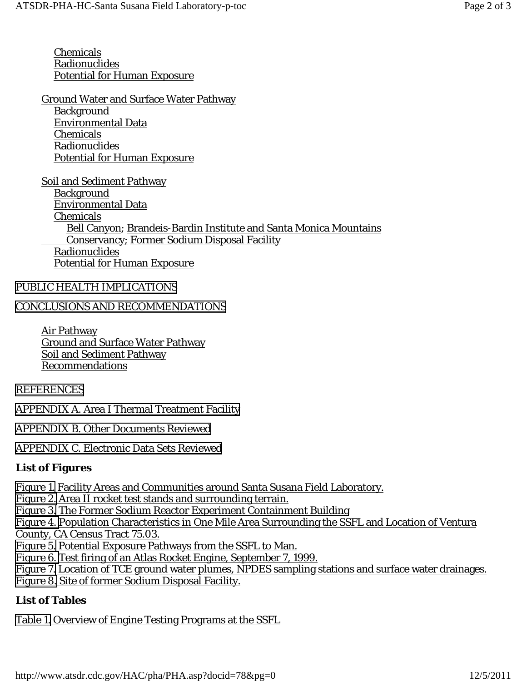Chemicals Radionuclides Potential for Human Exposure

Ground Water and Surface Water Pathway **Background**  Environmental Data Chemicals Radionuclides Potential for Human Exposure

Soil and Sediment Pathway **Background**  Environmental Data Chemicals Bell Canyon; Brandeis-Bardin Institute and Santa Monica Mountains Conservancy; Former Sodium Disposal Facility Radionuclides Potential for Human Exposure

### [PUBLIC HEALTH IMPLICATIONS](http://www.atsdr.cdc.gov/HAC/pha/PHA.asp?docid=78&pg=2#_1_62)

### [CONCLUSIONS AND RECOMMENDATIONS](http://www.atsdr.cdc.gov/HAC/pha/PHA.asp?docid=78&pg=3#_1_63)

Air Pathway Ground and Surface Water Pathway Soil and Sediment Pathway Recommendations

### [REFERENCES](http://www.atsdr.cdc.gov/HAC/pha/PHA.asp?docid=78&pg=3#_1_68)

[APPENDIX A. Area I Thermal Treatment Facility](http://www.atsdr.cdc.gov/HAC/pha/PHA.asp?docid=78&pg=4#_1_69)

[APPENDIX B. Other Documents Reviewed](http://www.atsdr.cdc.gov/HAC/pha/PHA.asp?docid=78&pg=4#_1_70)

[APPENDIX C. Electronic Data Sets Reviewed](http://www.atsdr.cdc.gov/HAC/pha/PHA.asp?docid=78&pg=4#_1_71)

### **List of Figures**

[Figure 1.](http://www.atsdr.cdc.gov/HAC/pha/reports/santasusanafl_12031999ca/images/figure1.gif) Facility Areas and Communities around Santa Susana Field Laboratory.

[Figure 2.](http://www.atsdr.cdc.gov/HAC/pha/PHA.asp?docid=78&pg=1#_1_10) Area II rocket test stands and surrounding terrain.

[Figure 3.](http://www.atsdr.cdc.gov/HAC/pha/PHA.asp?docid=78&pg=1#_1_15) The Former Sodium Reactor Experiment Containment Building

[Figure 4.](http://www.atsdr.cdc.gov/HAC/pha/reports/santasusanafl_12031999ca/images/figure4.gif) Population Characteristics in One Mile Area Surrounding the SSFL and Location of Ventura County, CA Census Tract 75.03.

[Figure 5.](http://www.atsdr.cdc.gov/HAC/pha/PHA.asp?docid=78&pg=2#_1_27) Potential Exposure Pathways from the SSFL to Man.

[Figure 6.](http://www.atsdr.cdc.gov/HAC/pha/PHA.asp?docid=78&pg=2#_1_32) Test firing of an Atlas Rocket Engine, September 7, 1999.

[Figure 7.](http://www.atsdr.cdc.gov/HAC/pha/reports/santasusanafl_12031999ca/images/figure7.gif) Location of TCE ground water plumes, NPDES sampling stations and surface water drainages. [Figure 8.](http://www.atsdr.cdc.gov/HAC/pha/PHA.asp?docid=78&pg=2#_1_56) Site of former Sodium Disposal Facility.

### **List of Tables**

[Table 1.](http://www.atsdr.cdc.gov/HAC/pha/PHA.asp?docid=78&pg=1#_1_13) Overview of Engine Testing Programs at the SSFL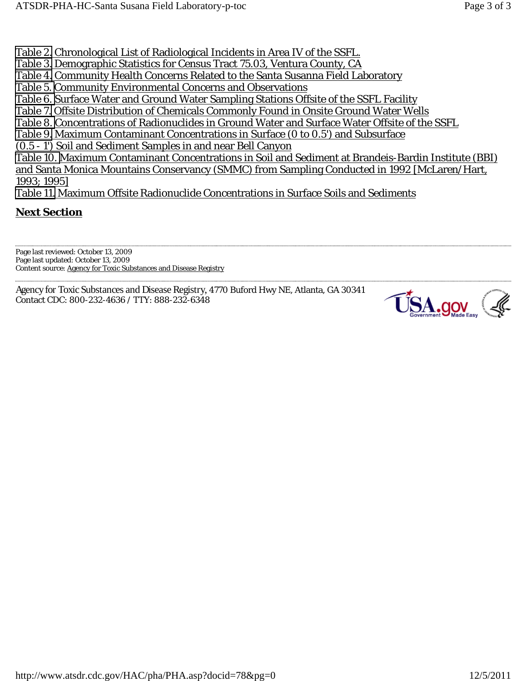[Table 2.](http://www.atsdr.cdc.gov/HAC/pha/PHA.asp?docid=78&pg=1#_1_14) Chronological List of Radiological Incidents in Area IV of the SSFL.

- [Table 3.](http://www.atsdr.cdc.gov/HAC/pha/PHA.asp?docid=78&pg=1#_1_18) Demographic Statistics for Census Tract 75.03, Ventura County, CA
- [Table 4.](http://www.atsdr.cdc.gov/HAC/pha/PHA.asp?docid=78&pg=1#_1_21) Community Health Concerns Related to the Santa Susanna Field Laboratory

[Table 5. C](http://www.atsdr.cdc.gov/HAC/pha/PHA.asp?docid=78&pg=1#_1_22)ommunity Environmental Concerns and Observations

[Table 6.](http://www.atsdr.cdc.gov/HAC/pha/PHA.asp?docid=78&pg=2#_1_44) Surface Water and Ground Water Sampling Stations Offsite of the SSFL Facility

[Table 7.](http://www.atsdr.cdc.gov/HAC/pha/PHA.asp?docid=78&pg=2#_1_45) Offsite Distribution of Chemicals Commonly Found in Onsite Ground Water Wells

[Table 8. C](http://www.atsdr.cdc.gov/HAC/pha/PHA.asp?docid=78&pg=2#_1_47)oncentrations of Radionuclides in Ground Water and Surface Water Offsite of the SSFL

[Table 9.](http://www.atsdr.cdc.gov/HAC/pha/PHA.asp?docid=78&pg=2#_1_58) Maximum Contaminant Concentrations in Surface (0 to 0.5') and Subsurface

(0.5 - 1') Soil and Sediment Samples in and near Bell Canyon

[Table 10. M](http://www.atsdr.cdc.gov/HAC/pha/PHA.asp?docid=78&pg=2#_1_59)aximum Contaminant Concentrations in Soil and Sediment at Brandeis-Bardin Institute (BBI) and Santa Monica Mountains Conservancy (SMMC) from Sampling Conducted in 1992 [McLaren/Hart, 1993; 1995]

[Table 11.](http://www.atsdr.cdc.gov/HAC/pha/PHA.asp?docid=78&pg=2#_1_60) Maximum Offsite Radionuclide Concentrations in Surface Soils and Sediments

## **Next Section**

Page last reviewed: October 13, 2009 Page last updated: October 13, 2009 Content source: Agency for Toxic Substances and Disease Registry

Agency for Toxic Substances and Disease Registry, 4770 Buford Hwy NE, Atlanta, GA 30341 Contact CDC: 800-232-4636 / TTY: 888-232-6348

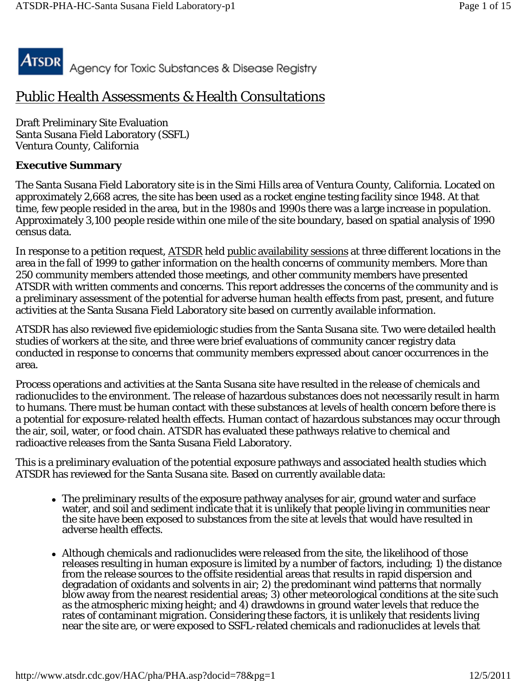

# Public Health Assessments & Health Consultations

Draft Preliminary Site Evaluation Santa Susana Field Laboratory (SSFL) Ventura County, California

### **Executive Summary**

The Santa Susana Field Laboratory site is in the Simi Hills area of Ventura County, California. Located on approximately 2,668 acres, the site has been used as a rocket engine testing facility since 1948. At that time, few people resided in the area, but in the 1980s and 1990s there was a large increase in population. Approximately 3,100 people reside within one mile of the site boundary, based on spatial analysis of 1990 census data.

In response to a petition request, ATSDR held public availability sessions at three different locations in the area in the fall of 1999 to gather information on the health concerns of community members. More than 250 community members attended those meetings, and other community members have presented ATSDR with written comments and concerns. This report addresses the concerns of the community and is a preliminary assessment of the potential for adverse human health effects from past, present, and future activities at the Santa Susana Field Laboratory site based on currently available information.

ATSDR has also reviewed five epidemiologic studies from the Santa Susana site. Two were detailed health studies of workers at the site, and three were brief evaluations of community cancer registry data conducted in response to concerns that community members expressed about cancer occurrences in the area.

Process operations and activities at the Santa Susana site have resulted in the release of chemicals and radionuclides to the environment. The release of hazardous substances does not necessarily result in harm to humans. There must be human contact with these substances at levels of health concern before there is a potential for exposure-related health effects. Human contact of hazardous substances may occur through the air, soil, water, or food chain. ATSDR has evaluated these pathways relative to chemical and radioactive releases from the Santa Susana Field Laboratory.

This is a preliminary evaluation of the potential exposure pathways and associated health studies which ATSDR has reviewed for the Santa Susana site. Based on currently available data:

- The preliminary results of the exposure pathway analyses for air, ground water and surface water, and soil and sediment indicate that it is unlikely that people living in communities near the site have been exposed to substances from the site at levels that would have resulted in adverse health effects.
- Although chemicals and radionuclides were released from the site, the likelihood of those releases resulting in human exposure is limited by a number of factors, including; 1) the distance from the release sources to the offsite residential areas that results in rapid dispersion and degradation of oxidants and solvents in air; 2) the predominant wind patterns that normally blow away from the nearest residential areas; 3) other meteorological conditions at the site such as the atmospheric mixing height; and 4) drawdowns in ground water levels that reduce the rates of contaminant migration. Considering these factors, it is unlikely that residents living near the site are, or were exposed to SSFL-related chemicals and radionuclides at levels that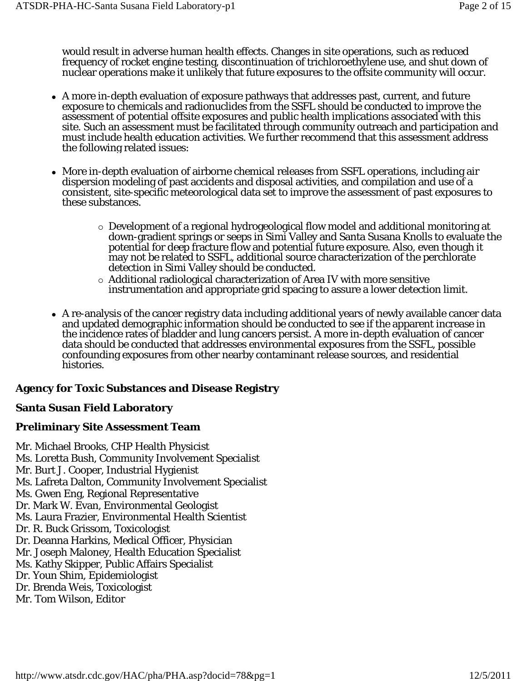would result in adverse human health effects. Changes in site operations, such as reduced frequency of rocket engine testing, discontinuation of trichloroethylene use, and shut down of nuclear operations make it unlikely that future exposures to the offsite community will occur.

- A more in-depth evaluation of exposure pathways that addresses past, current, and future exposure to chemicals and radionuclides from the SSFL should be conducted to improve the assessment of potential offsite exposures and public health implications associated with this site. Such an assessment must be facilitated through community outreach and participation and must include health education activities. We further recommend that this assessment address the following related issues:
- More in-depth evaluation of airborne chemical releases from SSFL operations, including air dispersion modeling of past accidents and disposal activities, and compilation and use of a consistent, site-specific meteorological data set to improve the assessment of past exposures to these substances.
	- Development of a regional hydrogeological flow model and additional monitoring at down-gradient springs or seeps in Simi Valley and Santa Susana Knolls to evaluate the potential for deep fracture flow and potential future exposure. Also, even though it may not be related to SSFL, additional source characterization of the perchlorate detection in Simi Valley should be conducted.
	- Additional radiological characterization of Area IV with more sensitive instrumentation and appropriate grid spacing to assure a lower detection limit.
- A re-analysis of the cancer registry data including additional years of newly available cancer data and updated demographic information should be conducted to see if the apparent increase in the incidence rates of bladder and lung cancers persist. A more in-depth evaluation of cancer data should be conducted that addresses environmental exposures from the SSFL, possible confounding exposures from other nearby contaminant release sources, and residential histories.

# **Agency for Toxic Substances and Disease Registry**

## **Santa Susan Field Laboratory**

# **Preliminary Site Assessment Team**

Mr. Michael Brooks, CHP Health Physicist Ms. Loretta Bush, Community Involvement Specialist Mr. Burt J. Cooper, Industrial Hygienist Ms. Lafreta Dalton, Community Involvement Specialist Ms. Gwen Eng, Regional Representative Dr. Mark W. Evan, Environmental Geologist Ms. Laura Frazier, Environmental Health Scientist Dr. R. Buck Grissom, Toxicologist Dr. Deanna Harkins, Medical Officer, Physician Mr. Joseph Maloney, Health Education Specialist Ms. Kathy Skipper, Public Affairs Specialist Dr. Youn Shim, Epidemiologist Dr. Brenda Weis, Toxicologist Mr. Tom Wilson, Editor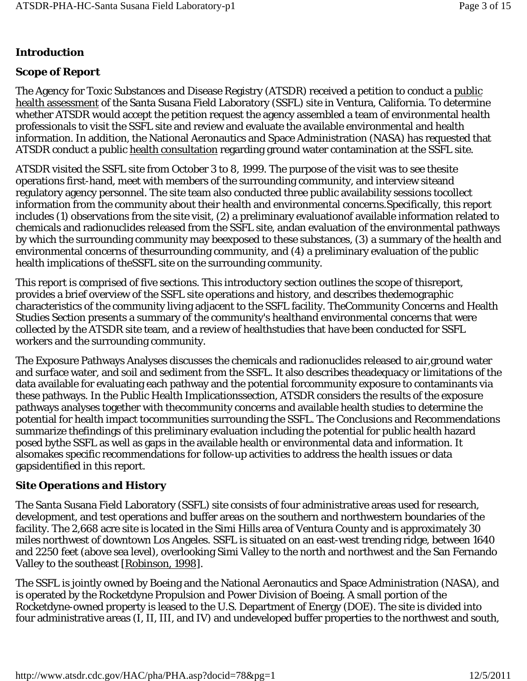### **Introduction**

### *Scope of Report*

The Agency for Toxic Substances and Disease Registry (ATSDR) received a petition to conduct a public health assessment of the Santa Susana Field Laboratory (SSFL) site in Ventura, California. To determine whether ATSDR would accept the petition request the agency assembled a team of environmental health professionals to visit the SSFL site and review and evaluate the available environmental and health information. In addition, the National Aeronautics and Space Administration (NASA) has requested that ATSDR conduct a public health consultation regarding ground water contamination at the SSFL site.

ATSDR visited the SSFL site from October 3 to 8, 1999. The purpose of the visit was to see thesite operations first-hand, meet with members of the surrounding community, and interview siteand regulatory agency personnel. The site team also conducted three public availability sessions tocollect information from the community about their health and environmental concerns.Specifically, this report includes (1) observations from the site visit, (2) a preliminary evaluationof available information related to chemicals and radionuclides released from the SSFL site, andan evaluation of the environmental pathways by which the surrounding community may beexposed to these substances, (3) a summary of the health and environmental concerns of thesurrounding community, and (4) a preliminary evaluation of the public health implications of theSSFL site on the surrounding community.

This report is comprised of five sections. This introductory section outlines the scope of thisreport, provides a brief overview of the SSFL site operations and history, and describes thedemographic characteristics of the community living adjacent to the SSFL facility. TheCommunity Concerns and Health Studies Section presents a summary of the community's healthand environmental concerns that were collected by the ATSDR site team, and a review of healthstudies that have been conducted for SSFL workers and the surrounding community.

The Exposure Pathways Analyses discusses the chemicals and radionuclides released to air,ground water and surface water, and soil and sediment from the SSFL. It also describes theadequacy or limitations of the data available for evaluating each pathway and the potential forcommunity exposure to contaminants via these pathways. In the Public Health Implicationssection, ATSDR considers the results of the exposure pathways analyses together with thecommunity concerns and available health studies to determine the potential for health impact tocommunities surrounding the SSFL. The Conclusions and Recommendations summarize thefindings of this preliminary evaluation including the potential for public health hazard posed bythe SSFL as well as gaps in the available health or environmental data and information. It alsomakes specific recommendations for follow-up activities to address the health issues or data gapsidentified in this report.

## *Site Operations and History*

The Santa Susana Field Laboratory (SSFL) site consists of four administrative areas used for research, development, and test operations and buffer areas on the southern and northwestern boundaries of the facility. The 2,668 acre site is located in the Simi Hills area of Ventura County and is approximately 30 miles northwest of downtown Los Angeles. SSFL is situated on an east-west trending ridge, between 1640 and 2250 feet (above sea level), overlooking Simi Valley to the north and northwest and the San Fernando Valley to the southeast [Robinson, 1998].

The SSFL is jointly owned by Boeing and the National Aeronautics and Space Administration (NASA), and is operated by the Rocketdyne Propulsion and Power Division of Boeing. A small portion of the Rocketdyne-owned property is leased to the U.S. Department of Energy (DOE). The site is divided into four administrative areas (I, II, III, and IV) and undeveloped buffer properties to the northwest and south,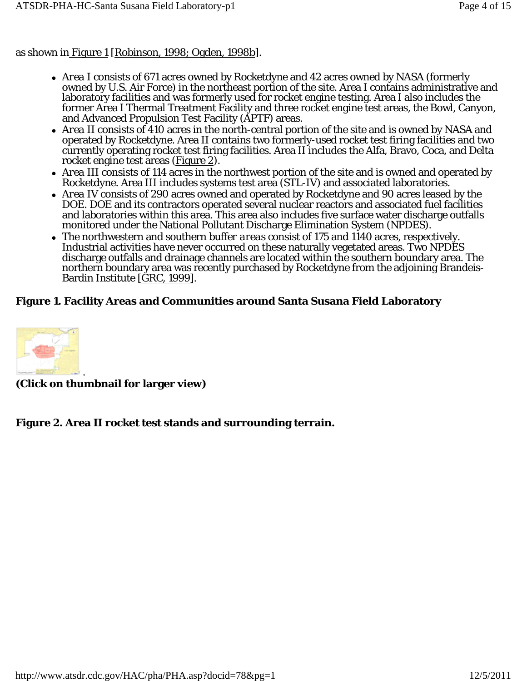as shown in Figure 1 [Robinson, 1998; Ogden, 1998b].

- *Area I* consists of 671 acres owned by Rocketdyne and 42 acres owned by NASA (formerly owned by U.S. Air Force) in the northeast portion of the site. Area I contains administrative and laboratory facilities and was formerly used for rocket engine testing. Area I also includes the former Area I Thermal Treatment Facility and three rocket engine test areas, the Bowl, Canyon, and Advanced Propulsion Test Facility (APTF) areas.
- *Area II* consists of 410 acres in the north-central portion of the site and is owned by NASA and operated by Rocketdyne. Area II contains two formerly-used rocket test firing facilities and two currently operating rocket test firing facilities. Area II includes the Alfa, Bravo, Coca, and Delta rocket engine test areas (Figure 2).
- *Area III* consists of 114 acres in the northwest portion of the site and is owned and operated by Rocketdyne. Area III includes systems test area (STL-IV) and associated laboratories.
- *Area IV* consists of 290 acres owned and operated by Rocketdyne and 90 acres leased by the DOE. DOE and its contractors operated several nuclear reactors and associated fuel facilities and laboratories within this area. This area also includes five surface water discharge outfalls monitored under the National Pollutant Discharge Elimination System (NPDES).
- The northwestern and southern *buffer areas* consist of 175 and 1140 acres, respectively. Industrial activities have never occurred on these naturally vegetated areas. Two NPDES discharge outfalls and drainage channels are located within the southern boundary area. The northern boundary area was recently purchased by Rocketdyne from the adjoining Brandeis-Bardin Institute [GRC, 1999].

# **Figure 1. Facility Areas and Communities around Santa Susana Field Laboratory**



**(Click on thumbnail for larger view)**

# **Figure 2. Area II rocket test stands and surrounding terrain.**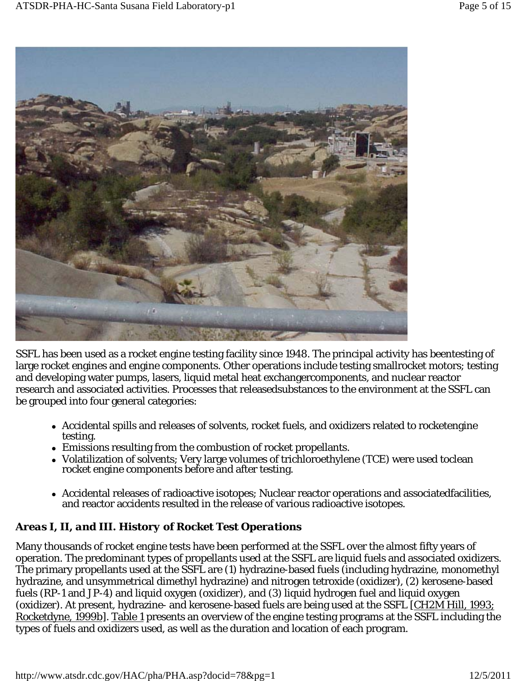

SSFL has been used as a rocket engine testing facility since 1948. The principal activity has beentesting of large rocket engines and engine components. Other operations include testing smallrocket motors; testing and developing water pumps, lasers, liquid metal heat exchangercomponents, and nuclear reactor research and associated activities. Processes that releasedsubstances to the environment at the SSFL can be grouped into four general categories:

- Accidental spills and releases of solvents, rocket fuels, and oxidizers related to rocketengine testing.
- Emissions resulting from the combustion of rocket propellants.
- Volatilization of solvents; Very large volumes of trichloroethylene (TCE) were used toclean rocket engine components before and after testing.
- Accidental releases of radioactive isotopes; Nuclear reactor operations and associatedfacilities, and reactor accidents resulted in the release of various radioactive isotopes.

# *Areas I, II, and III. History of Rocket Test Operations*

Many thousands of rocket engine tests have been performed at the SSFL over the almost fifty years of operation. The predominant types of propellants used at the SSFL are liquid fuels and associated oxidizers. The primary propellants used at the SSFL are (1) hydrazine-based fuels (including hydrazine, monomethyl hydrazine, and unsymmetrical dimethyl hydrazine) and nitrogen tetroxide (oxidizer), (2) kerosene-based fuels (RP-1 and JP-4) and liquid oxygen (oxidizer), and (3) liquid hydrogen fuel and liquid oxygen (oxidizer). At present, hydrazine- and kerosene-based fuels are being used at the SSFL [CH2M Hill, 1993; Rocketdyne, 1999b]. Table 1 presents an overview of the engine testing programs at the SSFL including the types of fuels and oxidizers used, as well as the duration and location of each program.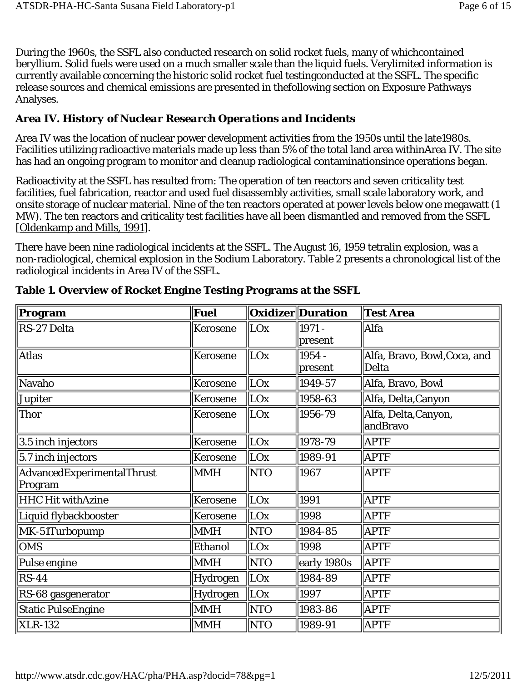During the 1960s, the SSFL also conducted research on solid rocket fuels, many of whichcontained beryllium. Solid fuels were used on a much smaller scale than the liquid fuels. Verylimited information is currently available concerning the historic solid rocket fuel testingconducted at the SSFL. The specific release sources and chemical emissions are presented in thefollowing section on Exposure Pathways Analyses.

### *Area IV. History of Nuclear Research Operations and Incidents*

Area IV was the location of nuclear power development activities from the 1950s until the late1980s. Facilities utilizing radioactive materials made up less than 5% of the total land area withinArea IV. The site has had an ongoing program to monitor and cleanup radiological contaminationsince operations began.

Radioactivity at the SSFL has resulted from: The operation of ten reactors and seven criticality test facilities, fuel fabrication, reactor and used fuel disassembly activities, small scale laboratory work, and onsite storage of nuclear material. Nine of the ten reactors operated at power levels below one megawatt (1 MW). The ten reactors and criticality test facilities have all been dismantled and removed from the SSFL [Oldenkamp and Mills, 1991].

There have been nine radiological incidents at the SSFL. The August 16, 1959 tetralin explosion, was a non-radiological, chemical explosion in the Sodium Laboratory. Table 2 presents a chronological list of the radiological incidents in Area IV of the SSFL.

| $\sqrt{\mathbf{P}}$ rogram | Fuel           |            | <b>Oxidizer</b> Duration | <b>Test Area</b>                 |
|----------------------------|----------------|------------|--------------------------|----------------------------------|
| RS-27 Delta                | Kerosene       | LOx        | 1971 -                   | Alfa                             |
|                            |                |            | present                  |                                  |
| <b>Atlas</b>               | Kerosene       | LOx        | 1954 -                   | Alfa, Bravo, Bowl, Coca, and     |
|                            |                |            | present                  | Delta                            |
| Navaho                     | Kerosene       | LOx        | 1949-57                  | Alfa, Bravo, Bowl                |
| Jupiter                    | Kerosene       | LOx        | 1958-63                  | Alfa, Delta, Canyon              |
| Thor                       | Kerosene       | LOx        | $\ 1956-79\ $            | Alfa, Delta, Canyon,<br>andBravo |
| 3.5 inch injectors         | Kerosene       | LOx        | 1978-79                  | <b>APTF</b>                      |
| $\vert$ 5.7 inch injectors | Kerosene       | LOx        | 1989-91                  | <b>APTF</b>                      |
| AdvancedExperimentalThrust | <b>MMH</b>     | <b>NTO</b> | 1967                     | APTF                             |
| Program                    |                |            |                          |                                  |
| <b>HHC Hit withAzine</b>   | Kerosene       | LOx        | 1991                     | <b>APTF</b>                      |
| Liquid flybackbooster      | Kerosene       | LOx        | 1998                     | <b>APTF</b>                      |
| MK-51Turbopump             | <b>MMH</b>     | <b>NTO</b> | 1984-85                  | <b>APTF</b>                      |
| <b>OMS</b>                 | <b>Ethanol</b> | LOx        | 1998                     | <b>APTF</b>                      |
| Pulse engine               | <b>MMH</b>     | <b>NTO</b> | early 1980s              | <b>APTF</b>                      |
| $RS-44$                    | Hydrogen       | LOx        | 1984-89                  | <b>APTF</b>                      |
| RS-68 gasgenerator         | Hydrogen       | $\ $ LOx   | 1997                     | <b>APTF</b>                      |
| <b>Static PulseEngine</b>  | <b>MMH</b>     | <b>NTO</b> | $\ $ 1983-86             | <b>APTF</b>                      |
| <b>XLR-132</b>             | <b>MMH</b>     | <b>NTO</b> | 1989-91                  | <b>APTF</b>                      |

**Table 1. Overview of Rocket Engine Testing Programs at the SSFL**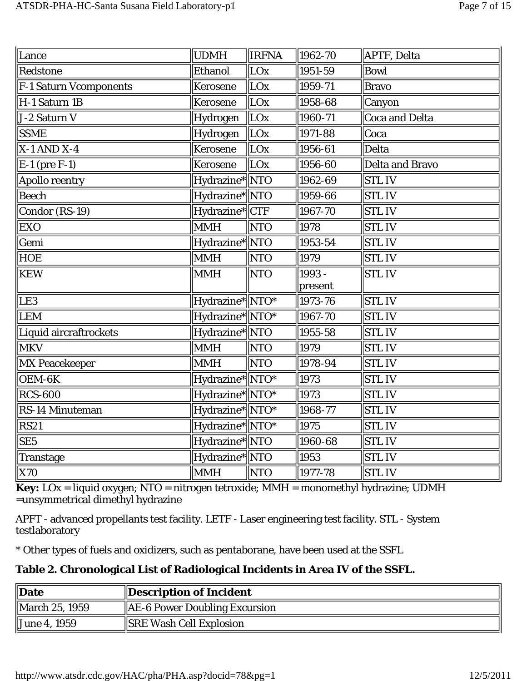|            |                 |                                                                                                                                                                                                                                                                                                                                                             | APTF, Delta                                         |
|------------|-----------------|-------------------------------------------------------------------------------------------------------------------------------------------------------------------------------------------------------------------------------------------------------------------------------------------------------------------------------------------------------------|-----------------------------------------------------|
|            |                 |                                                                                                                                                                                                                                                                                                                                                             | Bowl                                                |
| Kerosene   |                 | 1959-71                                                                                                                                                                                                                                                                                                                                                     | <b>Bravo</b>                                        |
| Kerosene   |                 | 1958-68                                                                                                                                                                                                                                                                                                                                                     | <b>Canyon</b>                                       |
| Hydrogen   |                 | 1960-71                                                                                                                                                                                                                                                                                                                                                     | Coca and Delta                                      |
| Hydrogen   |                 | 1971-88                                                                                                                                                                                                                                                                                                                                                     | Coca                                                |
| Kerosene   | LOx             | 1956-61                                                                                                                                                                                                                                                                                                                                                     | Delta                                               |
| Kerosene   |                 | 1956-60                                                                                                                                                                                                                                                                                                                                                     | Delta and Bravo                                     |
|            |                 | 1962-69                                                                                                                                                                                                                                                                                                                                                     | <b>STLIV</b>                                        |
|            |                 | 1959-66                                                                                                                                                                                                                                                                                                                                                     | <b>STLIV</b>                                        |
|            |                 | 1967-70                                                                                                                                                                                                                                                                                                                                                     | <b>STLIV</b>                                        |
| <b>MMH</b> | <b>NTO</b>      | 1978                                                                                                                                                                                                                                                                                                                                                        | <b>STLIV</b>                                        |
|            |                 | 1953-54                                                                                                                                                                                                                                                                                                                                                     | <b>STLIV</b>                                        |
| MMH        | <b>NTO</b>      | 1979                                                                                                                                                                                                                                                                                                                                                        | <b>STLIV</b>                                        |
| <b>MMH</b> | <b>NTO</b>      | 1993 -                                                                                                                                                                                                                                                                                                                                                      | <b>STLIV</b>                                        |
|            |                 |                                                                                                                                                                                                                                                                                                                                                             |                                                     |
|            |                 |                                                                                                                                                                                                                                                                                                                                                             | <b>STLIV</b>                                        |
|            |                 |                                                                                                                                                                                                                                                                                                                                                             | <b>STL IV</b>                                       |
|            |                 | $ 1955 - 58$                                                                                                                                                                                                                                                                                                                                                | <b>STLIV</b>                                        |
| <b>MMH</b> |                 | 1979                                                                                                                                                                                                                                                                                                                                                        | <b>STLIV</b>                                        |
| <b>MMH</b> |                 | 1978-94                                                                                                                                                                                                                                                                                                                                                     | <b>STLIV</b>                                        |
|            |                 | 1973                                                                                                                                                                                                                                                                                                                                                        | <b>STLIV</b>                                        |
|            |                 | 1973                                                                                                                                                                                                                                                                                                                                                        | <b>STLIV</b>                                        |
|            |                 | 1968-77                                                                                                                                                                                                                                                                                                                                                     | <b>STL IV</b>                                       |
|            |                 | 1975                                                                                                                                                                                                                                                                                                                                                        | <b>STLIV</b>                                        |
|            |                 | 1960-68                                                                                                                                                                                                                                                                                                                                                     | <b>STLIV</b>                                        |
|            |                 | 1953                                                                                                                                                                                                                                                                                                                                                        | <b>STLIV</b>                                        |
| <b>MMH</b> |                 | 1977-78                                                                                                                                                                                                                                                                                                                                                     | <b>STLIV</b>                                        |
|            | UDMH<br>Ethanol | <b>IRFNA</b><br>LOx<br>$\ $ LOx<br>$\ $ LOx<br>$\ $ LOx<br>$\ $ LOx<br>$\ $ LOx<br>Hydrazine* NTO<br>Hydrazine*  NTO<br>Hydrazine* CTF<br>Hydrazine*  NTO<br>Hydrazine*NTO*<br>Hydrazine*NTO*<br>Hydrazine*  NTO<br>$\ $ NTO<br>  NTO<br>Hydrazine* NTO*<br>Hydrazine*NTO*<br>Hydrazine* NTO*<br>Hydrazine* NTO*<br>Hydrazine*NTO<br>Hydrazine*NTO<br>  NTO | 1962-70<br>1951-59<br>present<br>1973-76<br>1967-70 |

**Key:** LOx = liquid oxygen; NTO = nitrogen tetroxide; MMH = monomethyl hydrazine; UDMH =unsymmetrical dimethyl hydrazine

APFT - advanced propellants test facility. LETF - Laser engineering test facility. STL - System testlaboratory

\* Other types of fuels and oxidizers, such as pentaborane, have been used at the SSFL

**Table 2. Chronological List of Radiological Incidents in Area IV of the SSFL.** 

| Date           | Description of Incident                   |
|----------------|-------------------------------------------|
| March 25, 1959 | $\parallel$ AE-6 Power Doubling Excursion |
| June 4, 1959   | <b>SRE Wash Cell Explosion</b>            |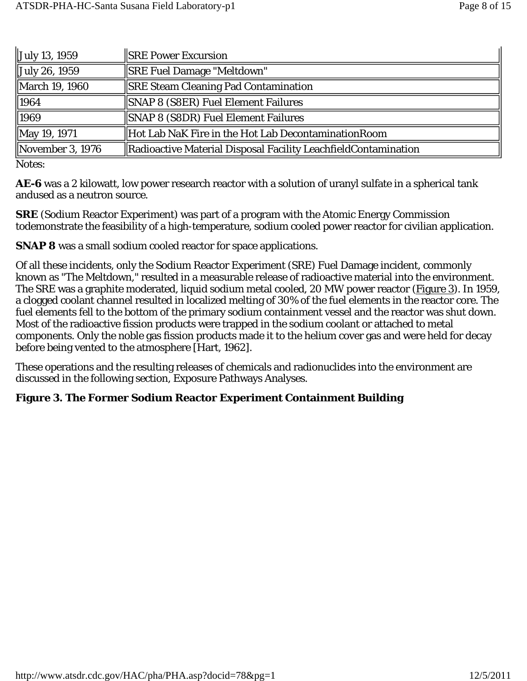| July 13, 1959        | <b>SRE Power Excursion</b>                                     |
|----------------------|----------------------------------------------------------------|
| $\int$ July 26, 1959 | <b>SRE Fuel Damage "Meltdown"</b>                              |
| March 19, 1960       | <b>SRE Steam Cleaning Pad Contamination</b>                    |
| 1964                 | SNAP 8 (S8ER) Fuel Element Failures                            |
| 1969                 | SNAP 8 (S8DR) Fuel Element Failures                            |
| May 19, 1971         | Hot Lab NaK Fire in the Hot Lab Decontamination Room           |
| November 3, $1976$   | Radioactive Material Disposal Facility LeachfieldContamination |

Notes:

**AE-6** was a 2 kilowatt, low power research reactor with a solution of uranyl sulfate in a spherical tank andused as a neutron source.

**SRE** (Sodium Reactor Experiment) was part of a program with the Atomic Energy Commission todemonstrate the feasibility of a high-temperature, sodium cooled power reactor for civilian application.

**SNAP 8** was a small sodium cooled reactor for space applications.

Of all these incidents, only the Sodium Reactor Experiment (SRE) Fuel Damage incident, commonly known as "The Meltdown," resulted in a measurable release of radioactive material into the environment. The SRE was a graphite moderated, liquid sodium metal cooled, 20 MW power reactor (Figure 3). In 1959, a clogged coolant channel resulted in localized melting of 30% of the fuel elements in the reactor core. The fuel elements fell to the bottom of the primary sodium containment vessel and the reactor was shut down. Most of the radioactive fission products were trapped in the sodium coolant or attached to metal components. Only the noble gas fission products made it to the helium cover gas and were held for decay before being vented to the atmosphere [Hart, 1962].

These operations and the resulting releases of chemicals and radionuclides into the environment are discussed in the following section, Exposure Pathways Analyses.

### **Figure 3. The Former Sodium Reactor Experiment Containment Building**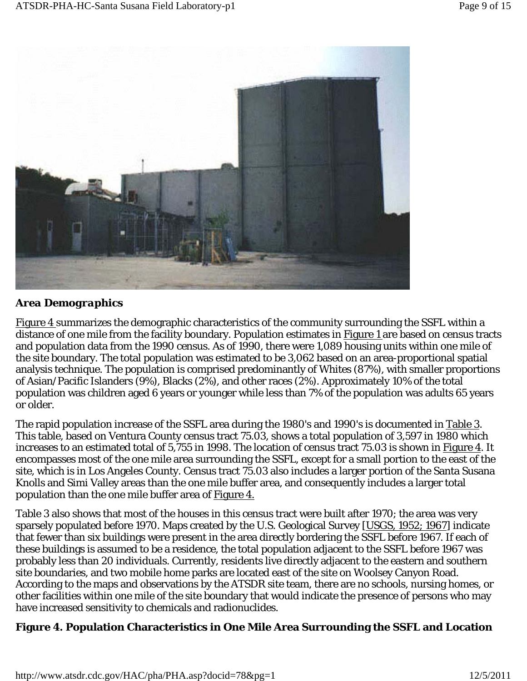

### *Area Demographics*

Figure 4 summarizes the demographic characteristics of the community surrounding the SSFL within a distance of one mile from the facility boundary. Population estimates in Figure 1 are based on census tracts and population data from the 1990 census. As of 1990, there were 1,089 housing units within one mile of the site boundary. The total population was estimated to be 3,062 based on an area-proportional spatial analysis technique. The population is comprised predominantly of Whites (87%), with smaller proportions of Asian/Pacific Islanders (9%), Blacks (2%), and other races (2%). Approximately 10% of the total population was children aged 6 years or younger while less than 7% of the population was adults 65 years or older.

The rapid population increase of the SSFL area during the 1980's and 1990's is documented in Table 3. This table, based on Ventura County census tract 75.03, shows a total population of 3,597 in 1980 which increases to an estimated total of 5,755 in 1998. The location of census tract 75.03 is shown in Figure 4. It encompasses most of the one mile area surrounding the SSFL, except for a small portion to the east of the site, which is in Los Angeles County. Census tract 75.03 also includes a larger portion of the Santa Susana Knolls and Simi Valley areas than the one mile buffer area, and consequently includes a larger total population than the one mile buffer area of Figure 4.

Table 3 also shows that most of the houses in this census tract were built after 1970; the area was very sparsely populated before 1970. Maps created by the U.S. Geological Survey [USGS, 1952; 1967] indicate that fewer than six buildings were present in the area directly bordering the SSFL before 1967. If each of these buildings is assumed to be a residence, the total population adjacent to the SSFL before 1967 was probably less than 20 individuals. Currently, residents live directly adjacent to the eastern and southern site boundaries, and two mobile home parks are located east of the site on Woolsey Canyon Road. According to the maps and observations by the ATSDR site team, there are no schools, nursing homes, or other facilities within one mile of the site boundary that would indicate the presence of persons who may have increased sensitivity to chemicals and radionuclides.

### **Figure 4. Population Characteristics in One Mile Area Surrounding the SSFL and Location**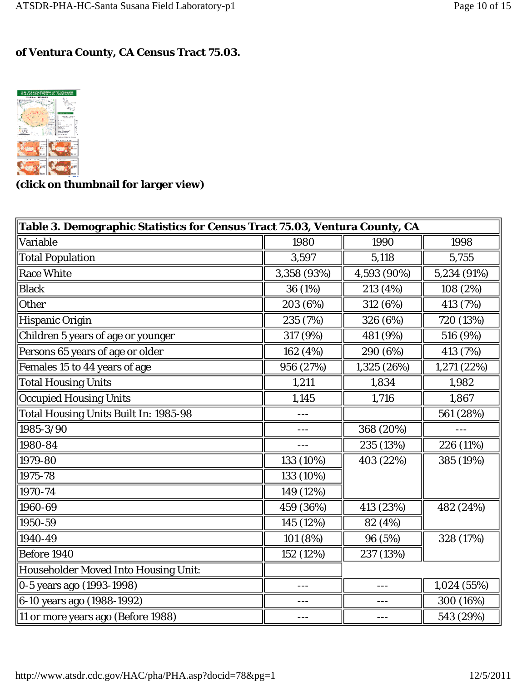### **of Ventura County, CA Census Tract 75.03.**



**(click on thumbnail for larger view)** 

| Table 3. Demographic Statistics for Census Tract 75.03, Ventura County, CA |             |             |             |  |  |
|----------------------------------------------------------------------------|-------------|-------------|-------------|--|--|
| Variable                                                                   | 1980        | 1990        | 1998        |  |  |
| <b>Total Population</b>                                                    | 3,597       | 5,118       | 5,755       |  |  |
| <b>Race White</b>                                                          | 3,358 (93%) | 4,593 (90%) | 5,234 (91%) |  |  |
| <b>Black</b>                                                               | 36 (1%)     | 213 (4%)    | 108 (2%)    |  |  |
| Other                                                                      | 203 (6%)    | 312 (6%)    | 413 (7%)    |  |  |
| <b>Hispanic Origin</b>                                                     | 235 (7%)    | 326 (6%)    | 720 (13%)   |  |  |
| Children 5 years of age or younger                                         | 317 (9%)    | 481 (9%)    | 516 (9%)    |  |  |
| Persons 65 years of age or older                                           | 162 (4%)    | 290 (6%)    | 413 (7%)    |  |  |
| Females 15 to 44 years of age                                              | 956 (27%)   | 1,325 (26%) | 1,271 (22%) |  |  |
| <b>Total Housing Units</b>                                                 | 1,211       | 1,834       | 1,982       |  |  |
| <b>Occupied Housing Units</b>                                              | 1,145       | 1,716       | 1,867       |  |  |
| <b>Total Housing Units Built In: 1985-98</b>                               |             |             | 561 (28%)   |  |  |
| 1985-3/90                                                                  |             | 368 (20%)   |             |  |  |
| 1980-84                                                                    |             | 235 (13%)   | 226 (11%)   |  |  |
| 1979-80                                                                    | 133 (10%)   | 403 (22%)   | 385 (19%)   |  |  |
| 1975-78                                                                    | 133 (10%)   |             |             |  |  |
| 1970-74                                                                    | 149 (12%)   |             |             |  |  |
| 1960-69                                                                    | 459 (36%)   | 413 (23%)   | 482 (24%)   |  |  |
| 1950-59                                                                    | 145 (12%)   | 82 (4%)     |             |  |  |
| 1940-49                                                                    | 101 (8%)    | 96 (5%)     | 328 (17%)   |  |  |
| Before 1940                                                                | 152 (12%)   | 237 (13%)   |             |  |  |
| <b>Householder Moved Into Housing Unit:</b>                                |             |             |             |  |  |
| 0-5 years ago (1993-1998)                                                  | ---         |             | 1,024 (55%) |  |  |
| 6-10 years ago (1988-1992)                                                 | ---         |             | 300 (16%)   |  |  |
| 11 or more years ago (Before 1988)                                         |             |             | 543 (29%)   |  |  |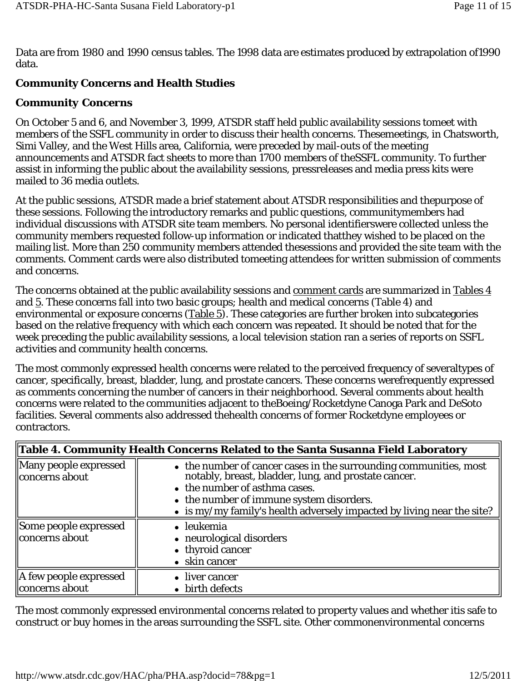Data are from 1980 and 1990 census tables. The 1998 data are estimates produced by extrapolation of1990 data.

# **Community Concerns and Health Studies**

## *Community Concerns*

On October 5 and 6, and November 3, 1999, ATSDR staff held public availability sessions tomeet with members of the SSFL community in order to discuss their health concerns. Thesemeetings, in Chatsworth, Simi Valley, and the West Hills area, California, were preceded by mail-outs of the meeting announcements and ATSDR fact sheets to more than 1700 members of theSSFL community. To further assist in informing the public about the availability sessions, pressreleases and media press kits were mailed to 36 media outlets.

At the public sessions, ATSDR made a brief statement about ATSDR responsibilities and thepurpose of these sessions. Following the introductory remarks and public questions, communitymembers had individual discussions with ATSDR site team members. No personal identifierswere collected unless the community members requested follow-up information or indicated thatthey wished to be placed on the mailing list. More than 250 community members attended thesessions and provided the site team with the comments. Comment cards were also distributed tomeeting attendees for written submission of comments and concerns.

The concerns obtained at the public availability sessions and comment cards are summarized in Tables 4 and 5. These concerns fall into two basic groups; health and medical concerns (Table 4) and environmental or exposure concerns (Table 5). These categories are further broken into subcategories based on the relative frequency with which each concern was repeated. It should be noted that for the week preceding the public availability sessions, a local television station ran a series of reports on SSFL activities and community health concerns.

The most commonly expressed health concerns were related to the perceived frequency of severaltypes of cancer, specifically, breast, bladder, lung, and prostate cancers. These concerns werefrequently expressed as comments concerning the number of cancers in their neighborhood. Several comments about health concerns were related to the communities adjacent to theBoeing/Rocketdyne Canoga Park and DeSoto facilities. Several comments also addressed thehealth concerns of former Rocketdyne employees or contractors.

|                                                      | Table 4. Community Health Concerns Related to the Santa Susanna Field Laboratory                                                                                                                                                                                                         |  |  |  |  |
|------------------------------------------------------|------------------------------------------------------------------------------------------------------------------------------------------------------------------------------------------------------------------------------------------------------------------------------------------|--|--|--|--|
| Many people expressed<br>concerns about              | • the number of cancer cases in the surrounding communities, most<br>notably, breast, bladder, lung, and prostate cancer.<br>• the number of asthma cases.<br>• the number of immune system disorders.<br>$\bullet$ is my/my family's health adversely impacted by living near the site? |  |  |  |  |
| Some people expressed<br>concerns about              | • leukemia<br>• neurological disorders<br>• thyroid cancer<br>• skin cancer                                                                                                                                                                                                              |  |  |  |  |
| $\parallel$ A few people expressed<br>concerns about | • liver cancer<br>• birth defects                                                                                                                                                                                                                                                        |  |  |  |  |

The most commonly expressed environmental concerns related to property values and whether itis safe to construct or buy homes in the areas surrounding the SSFL site. Other commonenvironmental concerns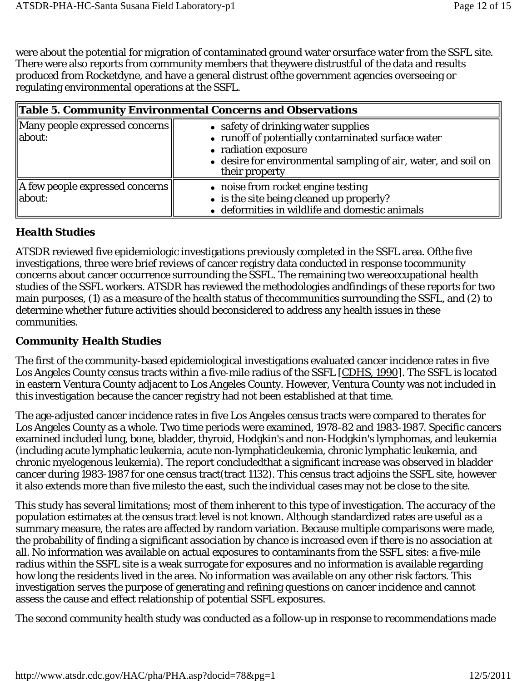were about the potential for migration of contaminated ground water orsurface water from the SSFL site. There were also reports from community members that theywere distrustful of the data and results produced from Rocketdyne, and have a general distrust ofthe government agencies overseeing or regulating environmental operations at the SSFL.

|                                                                  | Table 5. Community Environmental Concerns and Observations                                                                                                                                            |  |  |  |  |
|------------------------------------------------------------------|-------------------------------------------------------------------------------------------------------------------------------------------------------------------------------------------------------|--|--|--|--|
| $\parallel$ Many people expressed concerns $\parallel$<br>about: | • safety of drinking water supplies<br>• runoff of potentially contaminated surface water<br>• radiation exposure<br>• desire for environmental sampling of air, water, and soil on<br>their property |  |  |  |  |
| $\parallel$ A few people expressed concerns<br>about:            | • noise from rocket engine testing<br>• is the site being cleaned up properly?<br>• deformities in wildlife and domestic animals                                                                      |  |  |  |  |

### *Health Studies*

ATSDR reviewed five epidemiologic investigations previously completed in the SSFL area. Ofthe five investigations, three were brief reviews of cancer registry data conducted in response tocommunity concerns about cancer occurrence surrounding the SSFL. The remaining two wereoccupational health studies of the SSFL workers. ATSDR has reviewed the methodologies andfindings of these reports for two main purposes, (1) as a measure of the health status of thecommunities surrounding the SSFL, and (2) to determine whether future activities should beconsidered to address any health issues in these communities.

### *Community Health Studies*

The first of the community-based epidemiological investigations evaluated cancer incidence rates in five Los Angeles County census tracts within a five-mile radius of the SSFL [CDHS, 1990]. The SSFL is located in eastern Ventura County adjacent to Los Angeles County. However, Ventura County was not included in this investigation because the cancer registry had not been established at that time.

The age-adjusted cancer incidence rates in five Los Angeles census tracts were compared to therates for Los Angeles County as a whole. Two time periods were examined, 1978-82 and 1983-1987. Specific cancers examined included lung, bone, bladder, thyroid, Hodgkin's and non-Hodgkin's lymphomas, and leukemia (including acute lymphatic leukemia, acute non-lymphaticleukemia, chronic lymphatic leukemia, and chronic myelogenous leukemia). The report concludedthat a significant increase was observed in bladder cancer during 1983-1987 for one census tract(tract 1132). This census tract adjoins the SSFL site, however it also extends more than five milesto the east, such the individual cases may not be close to the site.

This study has several limitations; most of them inherent to this type of investigation. The accuracy of the population estimates at the census tract level is not known. Although standardized rates are useful as a summary measure, the rates are affected by random variation. Because multiple comparisons were made, the probability of finding a significant association by chance is increased even if there is no association at all. No information was available on actual exposures to contaminants from the SSFL sites: a five-mile radius within the SSFL site is a weak surrogate for exposures and no information is available regarding how long the residents lived in the area. No information was available on any other risk factors. This investigation serves the purpose of generating and refining questions on cancer incidence and cannot assess the cause and effect relationship of potential SSFL exposures.

The second community health study was conducted as a follow-up in response to recommendations made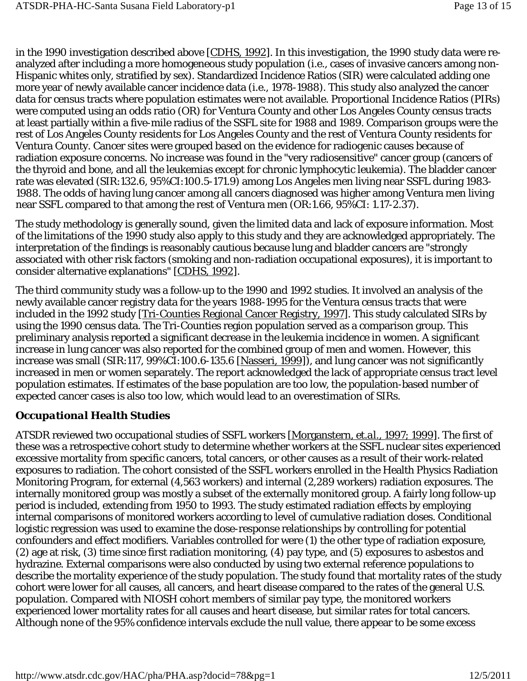in the 1990 investigation described above [CDHS, 1992]. In this investigation, the 1990 study data were reanalyzed after including a more homogeneous study population (i.e., cases of invasive cancers among non-Hispanic whites only, stratified by sex). Standardized Incidence Ratios (SIR) were calculated adding one more year of newly available cancer incidence data (i.e., 1978-1988). This study also analyzed the cancer data for census tracts where population estimates were not available. Proportional Incidence Ratios (PIRs) were computed using an odds ratio (OR) for Ventura County and other Los Angeles County census tracts at least partially within a five-mile radius of the SSFL site for 1988 and 1989. Comparison groups were the rest of Los Angeles County residents for Los Angeles County and the rest of Ventura County residents for Ventura County. Cancer sites were grouped based on the evidence for radiogenic causes because of radiation exposure concerns. No increase was found in the "very radiosensitive" cancer group (cancers of the thyroid and bone, and all the leukemias except for chronic lymphocytic leukemia). The bladder cancer rate was elevated (SIR:132.6, 95%CI:100.5-171.9) among Los Angeles men living near SSFL during 1983- 1988. The odds of having lung cancer among all cancers diagnosed was higher among Ventura men living near SSFL compared to that among the rest of Ventura men (OR:1.66, 95%CI: 1.17-2.37).

The study methodology is generally sound, given the limited data and lack of exposure information. Most of the limitations of the 1990 study also apply to this study and they are acknowledged appropriately. The interpretation of the findings is reasonably cautious because lung and bladder cancers are "strongly associated with other risk factors (smoking and non-radiation occupational exposures), it is important to consider alternative explanations" [CDHS, 1992].

The third community study was a follow-up to the 1990 and 1992 studies. It involved an analysis of the newly available cancer registry data for the years 1988-1995 for the Ventura census tracts that were included in the 1992 study [Tri-Counties Regional Cancer Registry, 1997]. This study calculated SIRs by using the 1990 census data. The Tri-Counties region population served as a comparison group. This preliminary analysis reported a significant decrease in the leukemia incidence in women. A significant increase in lung cancer was also reported for the combined group of men and women. However, this increase was small (SIR:117, 99%CI:100.6-135.6 [Nasseri, 1999]), and lung cancer was not significantly increased in men or women separately. The report acknowledged the lack of appropriate census tract level population estimates. If estimates of the base population are too low, the population-based number of expected cancer cases is also too low, which would lead to an overestimation of SIRs.

## *Occupational Health Studies*

ATSDR reviewed two occupational studies of SSFL workers [Morganstern, *et.al*., 1997; 1999]. The first of these was a retrospective cohort study to determine whether workers at the SSFL nuclear sites experienced excessive mortality from specific cancers, total cancers, or other causes as a result of their work-related exposures to radiation. The cohort consisted of the SSFL workers enrolled in the Health Physics Radiation Monitoring Program, for external (4,563 workers) and internal (2,289 workers) radiation exposures. The internally monitored group was mostly a subset of the externally monitored group. A fairly long follow-up period is included, extending from 1950 to 1993. The study estimated radiation effects by employing internal comparisons of monitored workers according to level of cumulative radiation doses. Conditional logistic regression was used to examine the dose-response relationships by controlling for potential confounders and effect modifiers. Variables controlled for were (1) the other type of radiation exposure, (2) age at risk, (3) time since first radiation monitoring, (4) pay type, and (5) exposures to asbestos and hydrazine. External comparisons were also conducted by using two external reference populations to describe the mortality experience of the study population. The study found that mortality rates of the study cohort were lower for all causes, all cancers, and heart disease compared to the rates of the general U.S. population. Compared with NIOSH cohort members of similar pay type, the monitored workers experienced lower mortality rates for all causes and heart disease, but similar rates for total cancers. Although none of the 95% confidence intervals exclude the null value, there appear to be some excess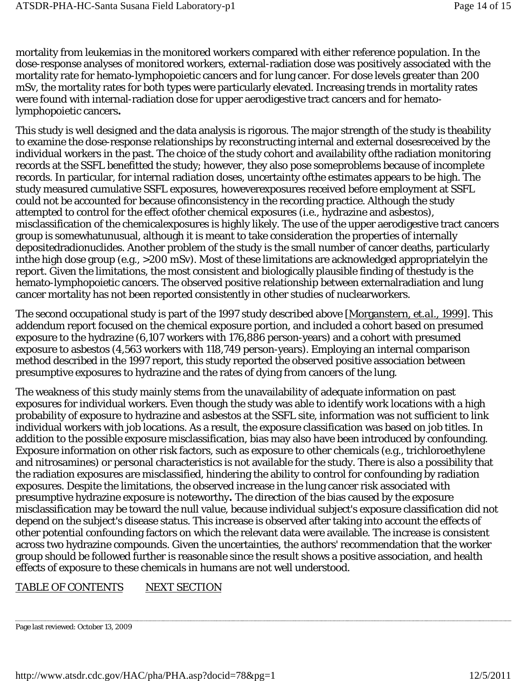mortality from leukemias in the monitored workers compared with either reference population. In the dose-response analyses of monitored workers, external-radiation dose was positively associated with the mortality rate for hemato-lymphopoietic cancers and for lung cancer. For dose levels greater than 200 mSv, the mortality rates for both types were particularly elevated. Increasing trends in mortality rates were found with internal-radiation dose for upper aerodigestive tract cancers and for hematolymphopoietic cancers**.**

This study is well designed and the data analysis is rigorous. The major strength of the study is theability to examine the dose-response relationships by reconstructing internal and external dosesreceived by the individual workers in the past. The choice of the study cohort and availability ofthe radiation monitoring records at the SSFL benefitted the study; however, they also pose someproblems because of incomplete records. In particular, for internal radiation doses, uncertainty ofthe estimates appears to be high. The study measured cumulative SSFL exposures, howeverexposures received before employment at SSFL could not be accounted for because ofinconsistency in the recording practice. Although the study attempted to control for the effect ofother chemical exposures (i.e., hydrazine and asbestos), misclassification of the chemicalexposures is highly likely. The use of the upper aerodigestive tract cancers group is somewhatunusual, although it is meant to take consideration the properties of internally depositedradionuclides. Another problem of the study is the small number of cancer deaths, particularly inthe high dose group (e.g., >200 mSv). Most of these limitations are acknowledged appropriatelyin the report. Given the limitations, the most consistent and biologically plausible finding of thestudy is the hemato-lymphopoietic cancers. The observed positive relationship between externalradiation and lung cancer mortality has not been reported consistently in other studies of nuclearworkers.

The second occupational study is part of the 1997 study described above [Morganstern, *et.al*., 1999]. This addendum report focused on the chemical exposure portion, and included a cohort based on presumed exposure to the hydrazine (6,107 workers with 176,886 person-years) and a cohort with presumed exposure to asbestos (4,563 workers with 118,749 person-years). Employing an internal comparison method described in the 1997 report, this study reported the observed positive association between presumptive exposures to hydrazine and the rates of dying from cancers of the lung.

The weakness of this study mainly stems from the unavailability of adequate information on past exposures for individual workers. Even though the study was able to identify work locations with a high probability of exposure to hydrazine and asbestos at the SSFL site, information was not sufficient to link individual workers with job locations. As a result, the exposure classification was based on job titles. In addition to the possible exposure misclassification, bias may also have been introduced by confounding. Exposure information on other risk factors, such as exposure to other chemicals (e.g., trichloroethylene and nitrosamines) or personal characteristics is not available for the study. There is also a possibility that the radiation exposures are misclassified, hindering the ability to control for confounding by radiation exposures. Despite the limitations, the observed increase in the lung cancer risk associated with presumptive hydrazine exposure is noteworthy**.** The direction of the bias caused by the exposure misclassification may be toward the null value, because individual subject's exposure classification did not depend on the subject's disease status. This increase is observed after taking into account the effects of other potential confounding factors on which the relevant data were available. The increase is consistent across two hydrazine compounds. Given the uncertainties, the authors' recommendation that the worker group should be followed further is reasonable since the result shows a positive association, and health effects of exposure to these chemicals in humans are not well understood.

### TABLE OF CONTENTS NEXT SECTION

Page last reviewed: October 13, 2009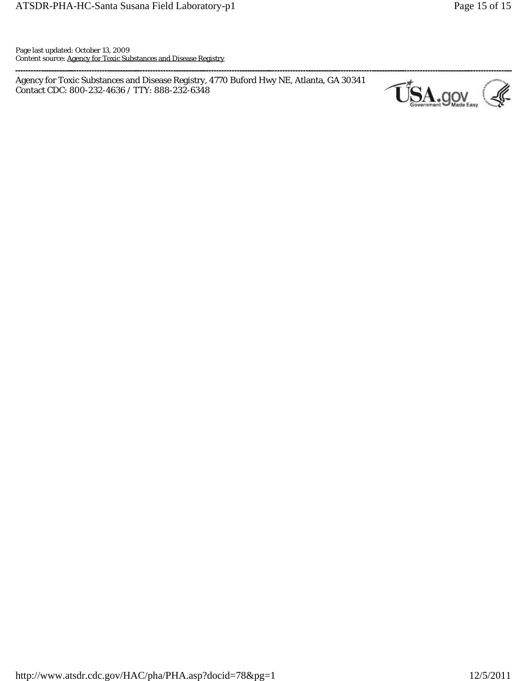Page last updated: October 13, 2009 Content source: Agency for Toxic Substances and Disease Registry

Agency for Toxic Substances and Disease Registry, 4770 Buford Hwy NE, Atlanta, GA 30341 ---=:::: .... :::: ....:::: ....== .. :::: ....:::: ....:::: .. =::::.:::::: ........... ---............ --- ············--.----T' u:~A·- 9.y"~·· <sup>~</sup>Contact CDC: 800-232-4636 / TTY: 888-232-6348

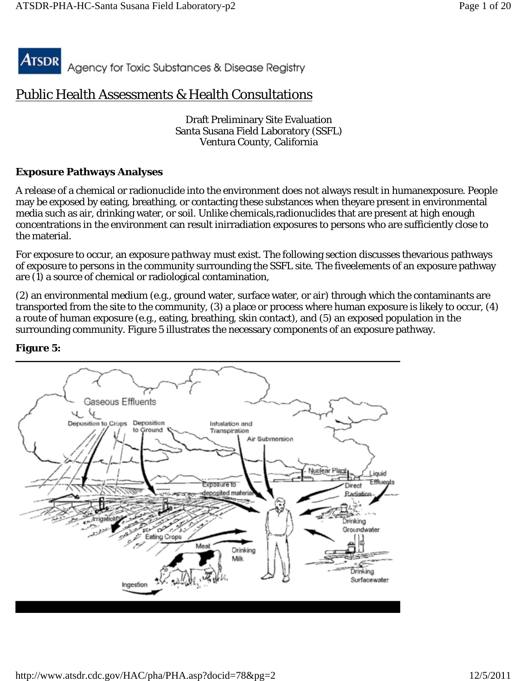Atsdr Agency for Toxic Substances & Disease Registry

# Public Health Assessments & Health Consultations

Draft Preliminary Site Evaluation Santa Susana Field Laboratory (SSFL) Ventura County, California

### **Exposure Pathways Analyses**

A release of a chemical or radionuclide into the environment does not always result in humanexposure. People may be exposed by eating, breathing, or contacting these substances when theyare present in environmental media such as air, drinking water, or soil. Unlike chemicals,radionuclides that are present at high enough concentrations in the environment can result inirradiation exposures to persons who are sufficiently close to the material.

For exposure to occur, an *exposure pathway* must exist. The following section discusses thevarious pathways of exposure to persons in the community surrounding the SSFL site. The fiveelements of an exposure pathway are (1) a source of chemical or radiological contamination,

(2) an environmental medium (e.g., ground water, surface water, or air) through which the contaminants are transported from the site to the community, (3) a place or process where human exposure is likely to occur, (4) a route of human exposure (e.g., eating, breathing, skin contact), and (5) an exposed population in the surrounding community. Figure 5 illustrates the necessary components of an exposure pathway.



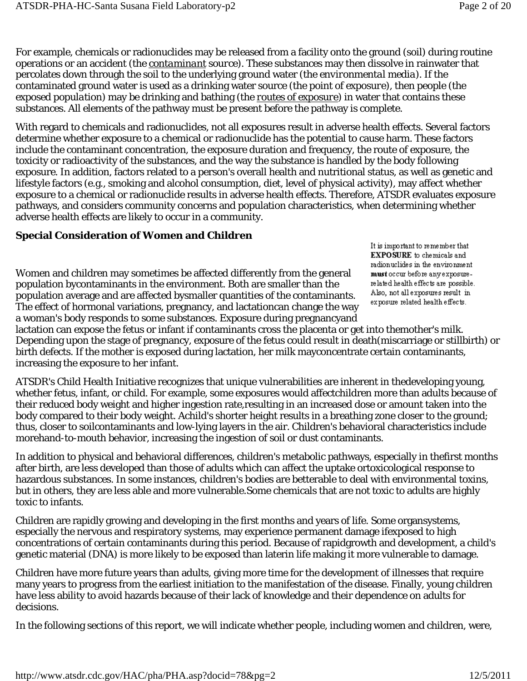For example, chemicals or radionuclides may be released from a facility onto the ground (soil) during routine operations or an accident (the *contaminant source*). These substances may then dissolve in rainwater that percolates down through the soil to the underlying ground water (the *environmental media*). If the contaminated ground water is used as a drinking water source (the *point of exposure*), then people (the *exposed population*) may be drinking and bathing (the *routes of exposure*) in water that contains these substances. All elements of the pathway must be present before the pathway is complete.

With regard to chemicals and radionuclides, not all exposures result in adverse health effects. Several factors determine whether exposure to a chemical or radionuclide has the potential to cause harm. These factors include the contaminant concentration, the exposure duration and frequency, the route of exposure, the toxicity or radioactivity of the substances, and the way the substance is handled by the body following exposure. In addition, factors related to a person's overall health and nutritional status, as well as genetic and lifestyle factors (e.g., smoking and alcohol consumption, diet, level of physical activity), may affect whether exposure to a chemical or radionuclide results in adverse health effects. Therefore, ATSDR evaluates exposure pathways, and considers community concerns and population characteristics, when determining whether adverse health effects are likely to occur in a community.

### **Special Consideration of Women and Children**

Women and children may sometimes be affected differently from the general population bycontaminants in the environment. Both are smaller than the population average and are affected bysmaller quantities of the contaminants. The effect of hormonal variations, pregnancy, and lactationcan change the way a woman's body responds to some substances. Exposure during pregnancyand

It is important to remember that EXPOSURE to chemicals and radionuclides in the environment must occur before any exposurerelated health effects are possible. Also, not all exposures result in exposure related health effects.

lactation can expose the fetus or infant if contaminants cross the placenta or get into themother's milk. Depending upon the stage of pregnancy, exposure of the fetus could result in death(miscarriage or stillbirth) or birth defects. If the mother is exposed during lactation, her milk mayconcentrate certain contaminants, increasing the exposure to her infant.

ATSDR's Child Health Initiative recognizes that unique vulnerabilities are inherent in thedeveloping young, whether fetus, infant, or child. For example, some exposures would affectchildren more than adults because of their reduced body weight and higher ingestion rate,resulting in an increased dose or amount taken into the body compared to their body weight. Achild's shorter height results in a breathing zone closer to the ground; thus, closer to soilcontaminants and low-lying layers in the air. Children's behavioral characteristics include morehand-to-mouth behavior, increasing the ingestion of soil or dust contaminants.

In addition to physical and behavioral differences, children's metabolic pathways, especially in thefirst months after birth, are less developed than those of adults which can affect the uptake ortoxicological response to hazardous substances. In some instances, children's bodies are betterable to deal with environmental toxins, but in others, they are less able and more vulnerable.Some chemicals that are not toxic to adults are highly toxic to infants.

Children are rapidly growing and developing in the first months and years of life. Some organsystems, especially the nervous and respiratory systems, may experience permanent damage ifexposed to high concentrations of certain contaminants during this period. Because of rapidgrowth and development, a child's genetic material (DNA) is more likely to be exposed than laterin life making it more vulnerable to damage.

Children have more future years than adults, giving more time for the development of illnesses that require many years to progress from the earliest initiation to the manifestation of the disease. Finally, young children have less ability to avoid hazards because of their lack of knowledge and their dependence on adults for decisions.

In the following sections of this report, we will indicate whether people, including women and children, were,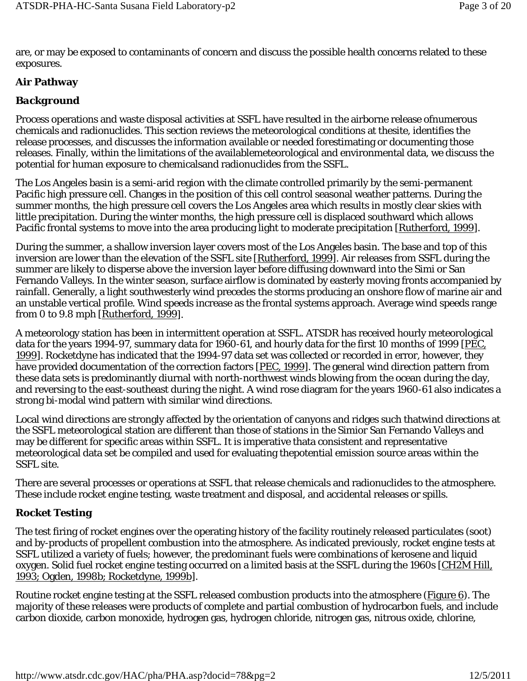are, or may be exposed to contaminants of concern and discuss the possible health concerns related to these exposures.

### **Air Pathway**

### *Background*

Process operations and waste disposal activities at SSFL have resulted in the airborne release ofnumerous chemicals and radionuclides. This section reviews the meteorological conditions at thesite, identifies the release processes, and discusses the information available or needed forestimating or documenting those releases. Finally, within the limitations of the availablemeteorological and environmental data, we discuss the potential for human exposure to chemicalsand radionuclides from the SSFL.

The Los Angeles basin is a semi-arid region with the climate controlled primarily by the semi-permanent Pacific high pressure cell. Changes in the position of this cell control seasonal weather patterns. During the summer months, the high pressure cell covers the Los Angeles area which results in mostly clear skies with little precipitation. During the winter months, the high pressure cell is displaced southward which allows Pacific frontal systems to move into the area producing light to moderate precipitation [Rutherford, 1999].

During the summer, a shallow inversion layer covers most of the Los Angeles basin. The base and top of this inversion are lower than the elevation of the SSFL site [Rutherford, 1999]. Air releases from SSFL during the summer are likely to disperse above the inversion layer before diffusing downward into the Simi or San Fernando Valleys. In the winter season, surface airflow is dominated by easterly moving fronts accompanied by rainfall. Generally, a light southwesterly wind precedes the storms producing an onshore flow of marine air and an unstable vertical profile. Wind speeds increase as the frontal systems approach. Average wind speeds range from 0 to 9.8 mph [Rutherford, 1999].

A meteorology station has been in intermittent operation at SSFL. ATSDR has received hourly meteorological data for the years 1994-97, summary data for 1960-61, and hourly data for the first 10 months of 1999 [PEC, 1999]. Rocketdyne has indicated that the 1994-97 data set was collected or recorded in error, however, they have provided documentation of the correction factors [PEC, 1999]. The general wind direction pattern from these data sets is predominantly diurnal with north-northwest winds blowing from the ocean during the day, and reversing to the east-southeast during the night. A wind rose diagram for the years 1960-61 also indicates a strong bi-modal wind pattern with similar wind directions.

Local wind directions are strongly affected by the orientation of canyons and ridges such thatwind directions at the SSFL meteorological station are different than those of stations in the Simior San Fernando Valleys and may be different for specific areas within SSFL. It is imperative thata consistent and representative meteorological data set be compiled and used for evaluating thepotential emission source areas within the SSFL site.

There are several processes or operations at SSFL that release chemicals and radionuclides to the atmosphere. These include rocket engine testing, waste treatment and disposal, and accidental releases or spills.

### *Rocket Testing*

The test firing of rocket engines over the operating history of the facility routinely released particulates (soot) and by-products of propellent combustion into the atmosphere. As indicated previously, rocket engine tests at SSFL utilized a variety of fuels; however, the predominant fuels were combinations of kerosene and liquid oxygen. Solid fuel rocket engine testing occurred on a limited basis at the SSFL during the 1960s [CH2M Hill, 1993; Ogden, 1998b; Rocketdyne, 1999b].

Routine rocket engine testing at the SSFL released combustion products into the atmosphere (Figure 6). The majority of these releases were products of complete and partial combustion of hydrocarbon fuels, and include carbon dioxide, carbon monoxide, hydrogen gas, hydrogen chloride, nitrogen gas, nitrous oxide, chlorine,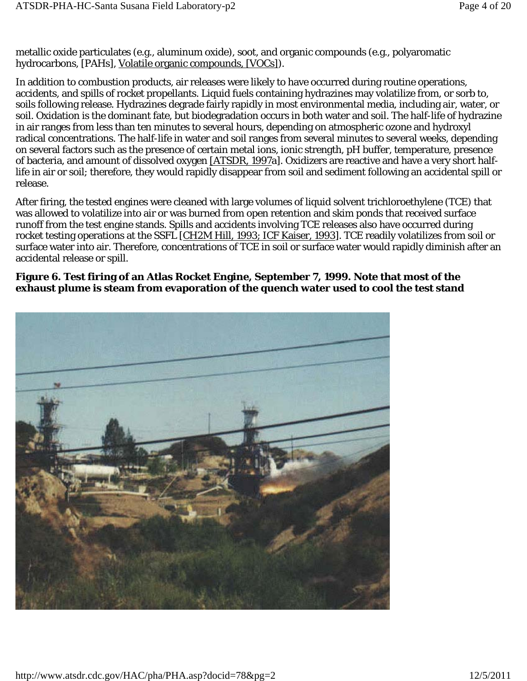metallic oxide particulates (e.g., aluminum oxide), soot, and organic compounds (e.g., polyaromatic hydrocarbons, [PAHs], Volatile organic compounds, [VOCs]).

In addition to combustion products, air releases were likely to have occurred during routine operations, accidents, and spills of rocket propellants. Liquid fuels containing hydrazines may volatilize from, or sorb to, soils following release. Hydrazines degrade fairly rapidly in most environmental media, including air, water, or soil. Oxidation is the dominant fate, but biodegradation occurs in both water and soil. The half-life of hydrazine in air ranges from less than ten minutes to several hours, depending on atmospheric ozone and hydroxyl radical concentrations. The half-life in water and soil ranges from several minutes to several weeks, depending on several factors such as the presence of certain metal ions, ionic strength, pH buffer, temperature, presence of bacteria, and amount of dissolved oxygen [ATSDR, 1997a]. Oxidizers are reactive and have a very short halflife in air or soil; therefore, they would rapidly disappear from soil and sediment following an accidental spill or release.

After firing, the tested engines were cleaned with large volumes of liquid solvent trichloroethylene (TCE) that was allowed to volatilize into air or was burned from open retention and skim ponds that received surface runoff from the test engine stands. Spills and accidents involving TCE releases also have occurred during rocket testing operations at the SSFL [CH2M Hill, 1993; ICF Kaiser, 1993]. TCE readily volatilizes from soil or surface water into air. Therefore, concentrations of TCE in soil or surface water would rapidly diminish after an accidental release or spill.

#### **Figure 6. Test firing of an Atlas Rocket Engine, September 7, 1999. Note that most of the exhaust plume is steam from evaporation of the quench water used to cool the test stand**

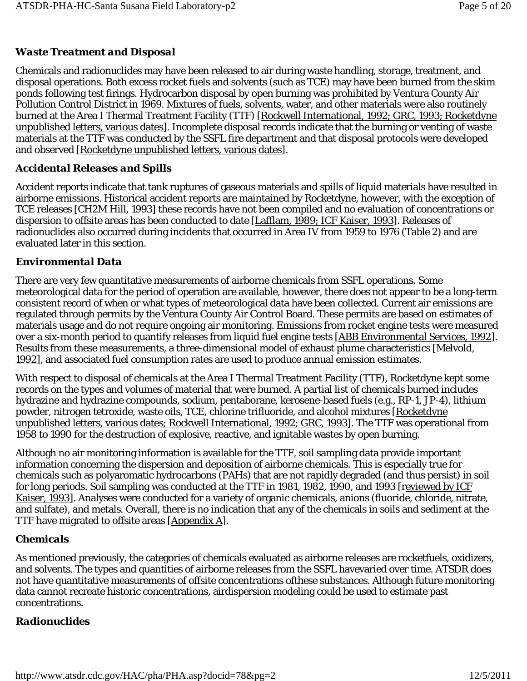# *Waste Treatment and Disposal*

Chemicals and radionuclides may have been released to air during waste handling, storage, treatment, and disposal operations. Both excess rocket fuels and solvents (such as TCE) may have been burned from the skim ponds following test firings. Hydrocarbon disposal by open burning was prohibited by Ventura County Air Pollution Control District in 1969. Mixtures of fuels, solvents, water, and other materials were also routinely burned at the Area I Thermal Treatment Facility (TTF) [Rockwell International, 1992; GRC, 1993; Rocketdyne unpublished letters, various dates]. Incomplete disposal records indicate that the burning or venting of waste materials at the TTF was conducted by the SSFL fire department and that disposal protocols were developed and observed [Rocketdyne unpublished letters, various dates].

## *Accidental Releases and Spills*

Accident reports indicate that tank ruptures of gaseous materials and spills of liquid materials have resulted in airborne emissions. Historical accident reports are maintained by Rocketdyne, however, with the exception of TCE releases [CH2M Hill, 1993] these records have not been compiled and no evaluation of concentrations or dispersion to offsite areas has been conducted to date [Lafflam, 1989; ICF Kaiser, 1993]. Releases of radionuclides also occurred during incidents that occurred in Area IV from 1959 to 1976 (Table 2) and are evaluated later in this section.

## *Environmental Data*

There are very few quantitative measurements of airborne chemicals from SSFL operations. Some meteorological data for the period of operation are available, however, there does not appear to be a long-term consistent record of when or what types of meteorological data have been collected. Current air emissions are regulated through permits by the Ventura County Air Control Board. These permits are based on estimates of materials usage and do not require ongoing air monitoring. Emissions from rocket engine tests were measured over a six-month period to quantify releases from liquid fuel engine tests [ABB Environmental Services, 1992]. Results from these measurements, a three-dimensional model of exhaust plume characteristics [Melvold, 1992], and associated fuel consumption rates are used to produce annual emission estimates.

With respect to disposal of chemicals at the Area I Thermal Treatment Facility (TTF), Rocketdyne kept some records on the types and volumes of material that were burned. A partial list of chemicals burned includes hydrazine and hydrazine compounds, sodium, pentaborane, kerosene-based fuels (e.g., RP-1, JP-4), lithium powder, nitrogen tetroxide, waste oils, TCE, chlorine trifluoride, and alcohol mixtures [Rocketdyne unpublished letters, various dates; Rockwell International, 1992; GRC, 1993]. The TTF was operational from 1958 to 1990 for the destruction of explosive, reactive, and ignitable wastes by open burning.

Although no air monitoring information is available for the TTF, soil sampling data provide important information concerning the dispersion and deposition of airborne chemicals. This is especially true for chemicals such as polyaromatic hydrocarbons (PAHs) that are not rapidly degraded (and thus persist) in soil for long periods. Soil sampling was conducted at the TTF in 1981, 1982, 1990, and 1993 [reviewed by ICF Kaiser, 1993]. Analyses were conducted for a variety of organic chemicals, anions (fluoride, chloride, nitrate, and sulfate), and metals. Overall, there is no indication that any of the chemicals in soils and sediment at the TTF have migrated to offsite areas [Appendix A].

## *Chemicals*

As mentioned previously, the categories of chemicals evaluated as airborne releases are rocketfuels, oxidizers, and solvents. The types and quantities of airborne releases from the SSFL havevaried over time. ATSDR does not have quantitative measurements of offsite concentrations ofthese substances. Although future monitoring data cannot recreate historic concentrations, airdispersion modeling could be used to estimate past concentrations.

# *Radionuclides*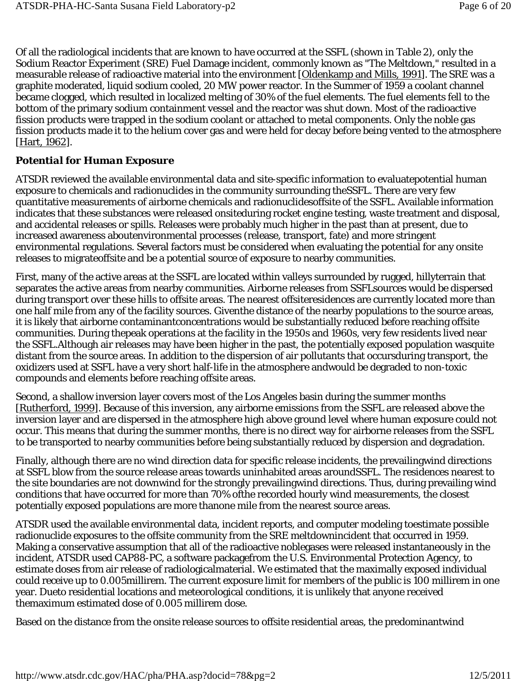Of all the radiological incidents that are known to have occurred at the SSFL (shown in Table 2), only the Sodium Reactor Experiment (SRE) Fuel Damage incident, commonly known as "The Meltdown," resulted in a measurable release of radioactive material into the environment [Oldenkamp and Mills, 1991]. The SRE was a graphite moderated, liquid sodium cooled, 20 MW power reactor. In the Summer of 1959 a coolant channel became clogged, which resulted in localized melting of 30% of the fuel elements. The fuel elements fell to the bottom of the primary sodium containment vessel and the reactor was shut down. Most of the radioactive fission products were trapped in the sodium coolant or attached to metal components. Only the noble gas fission products made it to the helium cover gas and were held for decay before being vented to the atmosphere [Hart, 1962].

### *Potential for Human Exposure*

ATSDR reviewed the available environmental data and site-specific information to evaluatepotential human exposure to chemicals and radionuclides in the community surrounding theSSFL. There are very few quantitative measurements of airborne chemicals and radionuclides*offsite* of the SSFL. Available information indicates that these substances were released *onsite*during rocket engine testing, waste treatment and disposal, and accidental releases or spills. Releases were probably much higher in the past than at present, due to increased awareness aboutenvironmental processes (release, transport, fate) and more stringent environmental regulations. Several factors must be considered when evaluating the potential for any *onsite* releases to migrate*offsite* and be a potential source of exposure to nearby communities.

First, many of the active areas at the SSFL are located within valleys surrounded by rugged, hillyterrain that separates the active areas from nearby communities. Airborne releases from SSFLsources would be dispersed during transport over these hills to offsite areas. The nearest offsiteresidences are currently located more than one half mile from any of the facility sources. Giventhe distance of the nearby populations to the source areas, it is likely that airborne contaminantconcentrations would be substantially reduced before reaching offsite communities. During thepeak operations at the facility in the 1950s and 1960s, very few residents lived near the SSFL.Although air releases may have been higher in the past, the potentially exposed population wasquite distant from the source areas. In addition to the dispersion of air pollutants that occursduring transport, the oxidizers used at SSFL have a very short half-life in the atmosphere andwould be degraded to non-toxic compounds and elements before reaching offsite areas.

Second, a shallow inversion layer covers most of the Los Angeles basin during the summer months [Rutherford, 1999]. Because of this inversion, any airborne emissions from the SSFL are released *above* the inversion layer and are dispersed in the atmosphere high above ground level where human exposure could not occur. This means that during the summer months, there is no direct way for airborne releases from the SSFL to be transported to nearby communities before being substantially reduced by dispersion and degradation.

Finally, although there are no wind direction data for specific release incidents, the prevailingwind directions at SSFL blow from the source release areas towards uninhabited areas aroundSSFL. The residences nearest to the site boundaries are not downwind for the strongly prevailingwind directions. Thus, during prevailing wind conditions that have occurred for more than 70% ofthe recorded hourly wind measurements, the closest potentially exposed populations are more thanone mile from the nearest source areas.

ATSDR used the available environmental data, incident reports, and computer modeling toestimate possible radionuclide exposures to the offsite community from the SRE meltdownincident that occurred in 1959. Making a conservative assumption that all of the radioactive noblegases were released instantaneously in the incident, ATSDR used CAP88-PC, a software packagefrom the U.S. Environmental Protection Agency, to estimate doses from air release of radiologicalmaterial. We estimated that the maximally exposed individual could receive up to 0.005millirem. The current exposure limit for members of the public is 100 millirem in one year. Dueto residential locations and meteorological conditions, it is unlikely that anyone received themaximum estimated dose of 0.005 millirem dose.

Based on the distance from the onsite release sources to offsite residential areas, the predominantwind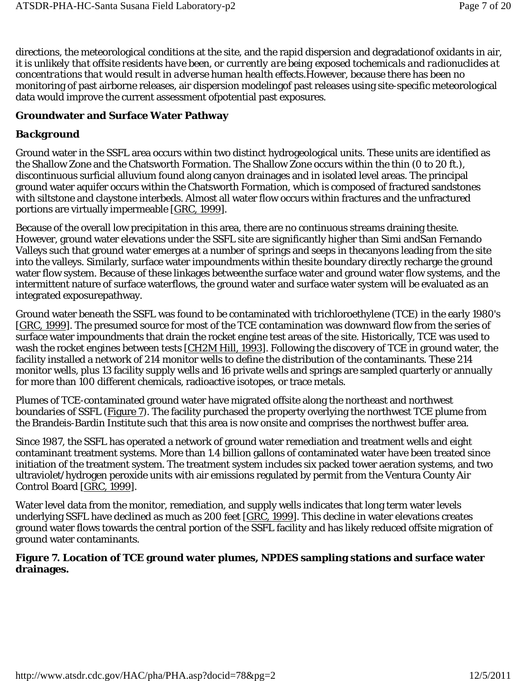directions, the meteorological conditions at the site, and the rapid dispersion and degradationof oxidants in air, *it is unlikely that offsite residents have been, or currently are being exposed tochemicals and radionuclides at concentrations that would result in adverse human health effects*.However, because there has been no monitoring of past airborne releases, air dispersion modelingof past releases using site-specific meteorological data would improve the current assessment ofpotential past exposures.

### **Groundwater and Surface Water Pathway**

### *Background*

Ground water in the SSFL area occurs within two distinct hydrogeological units. These units are identified as the Shallow Zone and the Chatsworth Formation. The Shallow Zone occurs within the thin (0 to 20 ft.), discontinuous surficial alluvium found along canyon drainages and in isolated level areas. The principal ground water aquifer occurs within the Chatsworth Formation, which is composed of fractured sandstones with siltstone and claystone interbeds. Almost all water flow occurs within fractures and the unfractured portions are virtually impermeable [GRC, 1999].

Because of the overall low precipitation in this area, there are no continuous streams draining thesite. However, ground water elevations under the SSFL site are significantly higher than Simi andSan Fernando Valleys such that ground water emerges at a number of springs and seeps in thecanyons leading from the site into the valleys. Similarly, surface water impoundments within thesite boundary directly recharge the ground water flow system. Because of these linkages betweenthe surface water and ground water flow systems, and the intermittent nature of surface waterflows, the ground water and surface water system will be evaluated as an integrated exposurepathway.

Ground water beneath the SSFL was found to be contaminated with trichloroethylene (TCE) in the early 1980's [GRC, 1999]. The presumed source for most of the TCE contamination was downward flow from the series of surface water impoundments that drain the rocket engine test areas of the site. Historically, TCE was used to wash the rocket engines between tests [CH2M Hill, 1993]. Following the discovery of TCE in ground water, the facility installed a network of 214 monitor wells to define the distribution of the contaminants. These 214 monitor wells, plus 13 facility supply wells and 16 private wells and springs are sampled quarterly or annually for more than 100 different chemicals, radioactive isotopes, or trace metals.

Plumes of TCE-contaminated ground water have migrated offsite along the northeast and northwest boundaries of SSFL (Figure 7). The facility purchased the property overlying the northwest TCE plume from the Brandeis-Bardin Institute such that this area is now onsite and comprises the northwest buffer area.

Since 1987, the SSFL has operated a network of ground water remediation and treatment wells and eight contaminant treatment systems. More than 1.4 billion gallons of contaminated water have been treated since initiation of the treatment system. The treatment system includes six packed tower aeration systems, and two ultraviolet/hydrogen peroxide units with air emissions regulated by permit from the Ventura County Air Control Board [GRC, 1999].

Water level data from the monitor, remediation, and supply wells indicates that long term water levels underlying SSFL have declined as much as 200 feet [GRC, 1999]. This decline in water elevations creates ground water flows towards the central portion of the SSFL facility and has likely reduced offsite migration of ground water contaminants.

### **Figure 7. Location of TCE ground water plumes, NPDES sampling stations and surface water drainages.**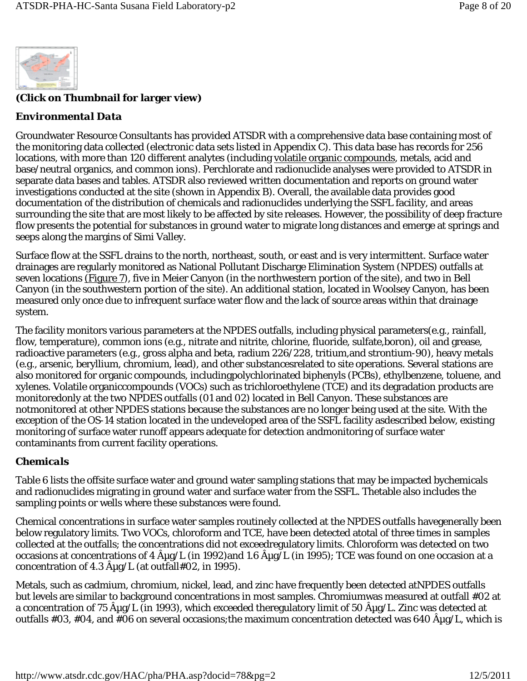

### **(Click on Thumbnail for larger view)**

### *Environmental Data*

Groundwater Resource Consultants has provided ATSDR with a comprehensive data base containing most of the monitoring data collected (electronic data sets listed in Appendix C). This data base has records for 256 locations, with more than 120 different analytes (including volatile organic compounds, metals, acid and base/neutral organics, and common ions). Perchlorate and radionuclide analyses were provided to ATSDR in separate data bases and tables. ATSDR also reviewed written documentation and reports on ground water investigations conducted at the site (shown in Appendix B). Overall, the available data provides good documentation of the distribution of chemicals and radionuclides underlying the SSFL facility, and areas surrounding the site that are most likely to be affected by site releases. However, the possibility of deep fracture flow presents the potential for substances in ground water to migrate long distances and emerge at springs and seeps along the margins of Simi Valley.

Surface flow at the SSFL drains to the north, northeast, south, or east and is very intermittent. Surface water drainages are regularly monitored as National Pollutant Discharge Elimination System (NPDES) outfalls at seven locations (Figure 7), five in Meier Canyon (in the northwestern portion of the site), and two in Bell Canyon (in the southwestern portion of the site). An additional station, located in Woolsey Canyon, has been measured only once due to infrequent surface water flow and the lack of source areas within that drainage system.

The facility monitors various parameters at the NPDES outfalls, including physical parameters(e.g., rainfall, flow, temperature), common ions (e.g., nitrate and nitrite, chlorine, fluoride, sulfate,boron), oil and grease, radioactive parameters (e.g., gross alpha and beta, radium 226/228, tritium,and strontium-90), heavy metals (e.g., arsenic, beryllium, chromium, lead), and other substancesrelated to site operations. Several stations are also monitored for organic compounds, includingpolychlorinated biphenyls (PCBs), ethylbenzene, toluene, and xylenes. Volatile organiccompounds (VOCs) such as trichloroethylene (TCE) and its degradation products are monitoredonly at the two NPDES outfalls (01 and 02) located in Bell Canyon. These substances are notmonitored at other NPDES stations because the substances are no longer being used at the site. With the exception of the OS-14 station located in the undeveloped area of the SSFL facility asdescribed below, existing monitoring of surface water runoff appears adequate for detection andmonitoring of surface water contaminants from current facility operations.

### *Chemicals*

Table 6 lists the offsite surface water and ground water sampling stations that may be impacted bychemicals and radionuclides migrating in ground water and surface water from the SSFL. Thetable also includes the sampling points or wells where these substances were found.

Chemical concentrations in surface water samples routinely collected at the NPDES outfalls havegenerally been below regulatory limits. Two VOCs, chloroform and TCE, have been detected atotal of three times in samples collected at the outfalls; the concentrations did not exceedregulatory limits. Chloroform was detected on two occasions at concentrations of 4  $\rm \AA\mu g/L$  (in 1992)and 1.6  $\rm \AA\mu g/L$  (in 1995); TCE was found on one occasion at a concentration of 4.3  $\rm \hat{A}$ µg/L (at outfall#02, in 1995).

Metals, such as cadmium, chromium, nickel, lead, and zinc have frequently been detected atNPDES outfalls but levels are similar to background concentrations in most samples. Chromiumwas measured at outfall #02 at a concentration of 75  $\rm \hat{A} \mu g/L$  (in 1993), which exceeded theregulatory limit of 50  $\rm \hat{A} \mu g/L$ . Zinc was detected at outfalls #03, #04, and #06 on several occasions; the maximum concentration detected was 640  $\rm \hat{A} \mu g/L$ , which is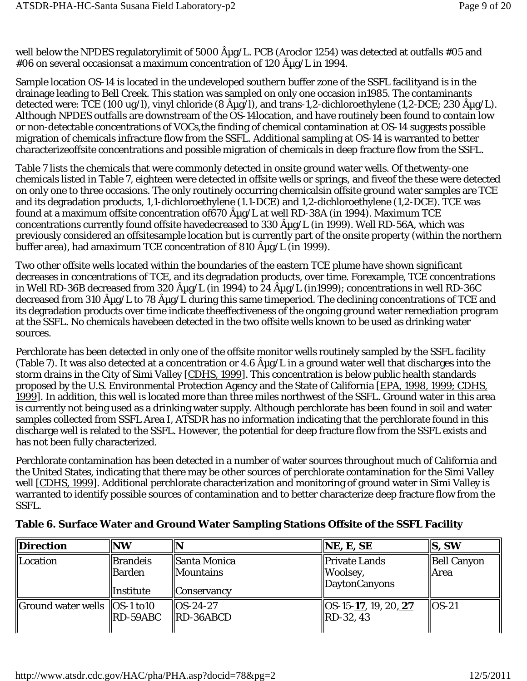well below the NPDES regulatorylimit of 5000  $\rm \hat A$ µg/L. PCB (Aroclor 1254) was detected at outfalls #05 and #06 on several occasionsat a maximum concentration of 120  $\rm \hat{A} \mu g/L$  in 1994.

Sample location OS-14 is located in the undeveloped southern buffer zone of the SSFL facilityand is in the drainage leading to Bell Creek. This station was sampled on only one occasion in1985. The contaminants detected were:  $\overline{TCE}$  (100 ug/l), vinyl chloride (8  $\hat{A}\mu$ g/l), and trans-1,2-dichloroethylene (1,2-DCE; 230  $\hat{A}\mu$ g/L). Although NPDES outfalls are downstream of the OS-14location, and have routinely been found to contain low or non-detectable concentrations of VOCs,the finding of chemical contamination at OS-14 suggests possible migration of chemicals infracture flow from the SSFL. Additional sampling at OS-14 is warranted to better characterizeoffsite concentrations and possible migration of chemicals in deep fracture flow from the SSFL.

Table 7 lists the chemicals that were commonly detected in onsite ground water wells. Of thetwenty-one chemicals listed in Table 7, eighteen were detected in offsite wells or springs, and fiveof the these were detected on only one to three occasions. The only routinely occurring chemicalsin offsite ground water samples are TCE and its degradation products, 1,1-dichloroethylene (1.1-DCE) and 1,2-dichloroethylene (1,2-DCE). TCE was found at a maximum offsite concentration of  $670 \text{ ŵg/L}$  at well RD-38A (in 1994). Maximum TCE concentrations currently found offsite havedecreased to 330  $\rm{A}\mu g/L$  (in 1999). Well RD-56A, which was previously considered an offsitesample location but is currently part of the onsite property (within the northern buffer area), had amaximum TCE concentration of 810  $\hat{A} \mu$ g/L (in 1999).

Two other offsite wells located within the boundaries of the eastern TCE plume have shown significant decreases in concentrations of TCE, and its degradation products, over time. Forexample, TCE concentrations in Well RD-36B decreased from 320  $\rm \hat{A}\mu g/L$  (in 1994) to 24  $\rm \hat{A}\mu g/L$  (in1999); concentrations in well RD-36C decreased from 310  $\rm \hat{A} \mu g/L$  to 78  $\rm \hat{A} \mu g/L$  during this same timeperiod. The declining concentrations of TCE and its degradation products over time indicate theeffectiveness of the ongoing ground water remediation program at the SSFL. No chemicals havebeen detected in the two offsite wells known to be used as drinking water sources.

Perchlorate has been detected in only one of the offsite monitor wells routinely sampled by the SSFL facility (Table 7). It was also detected at a concentration or 4.6  $\rm{A}\mu g/L$  in a ground water well that discharges into the storm drains in the City of Simi Valley [CDHS, 1999]. This concentration is below public health standards proposed by the U.S. Environmental Protection Agency and the State of California [EPA, 1998, 1999; CDHS, 1999]. In addition, this well is located more than three miles northwest of the SSFL. Ground water in this area is currently not being used as a drinking water supply. Although perchlorate has been found in soil and water samples collected from SSFL Area I, ATSDR has no information indicating that the perchlorate found in this discharge well is related to the SSFL. However, the potential for deep fracture flow from the SSFL exists and has not been fully characterized.

Perchlorate contamination has been detected in a number of water sources throughout much of California and the United States, indicating that there may be other sources of perchlorate contamination for the Simi Valley well [CDHS, 1999]. Additional perchlorate characterization and monitoring of ground water in Simi Valley is warranted to identify possible sources of contamination and to better characterize deep fracture flow from the SSFL.

| Direction                                            | <b>NW</b>                                       |                                                     | $\ $ NE, E, SE                                                     | ls, sw                       |
|------------------------------------------------------|-------------------------------------------------|-----------------------------------------------------|--------------------------------------------------------------------|------------------------------|
| Location                                             | <b>Brandeis</b><br>  Barden<br><b>Institute</b> | Santa Monica<br>  Mountains<br>  Conservancv        | Private Lands<br>$\parallel$ Woolsey,<br>$\parallel$ DaytonCanyons | <b>Bell Canyon</b><br>  Area |
| $\parallel$ Ground water wells $\parallel$ OS-1 to10 | RD-59ABC                                        | $\textsf{I}\textsf{O}$ S-24-27<br>$\ RD - 36ABCD\ $ | $\parallel$ OS-15-17, 19, 20, 27<br>$\ RD-32, 43\ $                | $ $ $ $ $OS-21$              |

### **Table 6. Surface Water and Ground Water Sampling Stations Offsite of the SSFL Facility**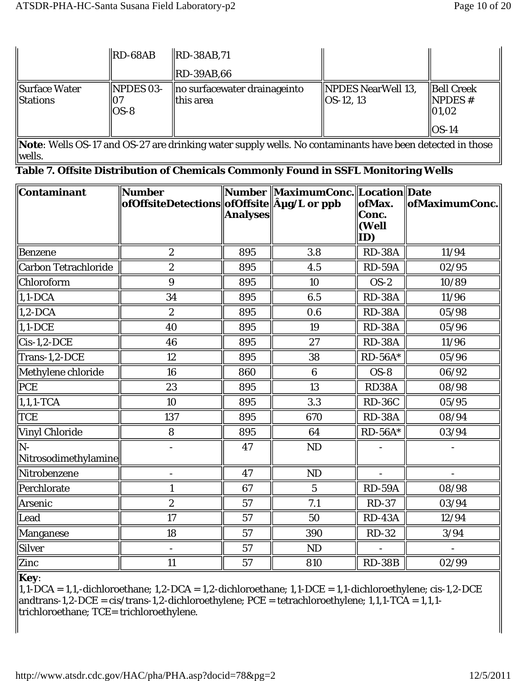|                                         | $\ $ RD-68AB                    | $\ RD - 38AB, 71$                                |                                              |                                                    |
|-----------------------------------------|---------------------------------|--------------------------------------------------|----------------------------------------------|----------------------------------------------------|
|                                         |                                 | $\ $ RD-39AB,66                                  |                                              |                                                    |
| Surface Water<br><i><b>Stations</b></i> | $\parallel$ NPDES 03-<br>$OS-8$ | $\ $ no surfacewater drainageinto<br>  this area | <b>NPDES NearWell 13,</b><br>$\ OS-12, 13\ $ | <b>Bell Creek</b><br>$\parallel$ NPDES #<br> 01,02 |
|                                         |                                 |                                                  |                                              | $OS-14$                                            |

**Note**: Wells OS-17 and OS-27 are drinking water supply wells. No contaminants have been detected in those wells.

|  |  | Table 7. Offsite Distribution of Chemicals Commonly Found in SSFL Monitoring Wells |  |  |
|--|--|------------------------------------------------------------------------------------|--|--|
|  |  |                                                                                    |  |  |

| Contaminant                  | Number<br>ofOffsiteDetections  ofOffsite  µg/L or ppb | <b>Analyses</b> | Number MaximumConc. Location Date | ofMax.<br>Conc.<br>(Well | ofMaximumConc. |
|------------------------------|-------------------------------------------------------|-----------------|-----------------------------------|--------------------------|----------------|
|                              |                                                       |                 |                                   | ID)                      |                |
| <b>Benzene</b>               | $\overline{2}$                                        | 895             | 3.8                               | <b>RD-38A</b>            | 11/94          |
| <b>Carbon Tetrachloride</b>  | $\boldsymbol{2}$                                      | 895             | 4.5                               | <b>RD-59A</b>            | 02/95          |
| Chloroform                   | 9                                                     | 895             | 10                                | $OS-2$                   | 10/89          |
| $1,1$ -DCA                   | 34                                                    | 895             | 6.5                               | <b>RD-38A</b>            | 11/96          |
| $1,2$ -DCA                   | $\overline{2}$                                        | 895             | 0.6                               | <b>RD-38A</b>            | 05/98          |
| $1,1-DCE$                    | 40                                                    | 895             | 19                                | <b>RD-38A</b>            | 05/96          |
| $Cis-1,2-DCE$                | 46                                                    | 895             | 27                                | <b>RD-38A</b>            | 11/96          |
| Trans-1,2-DCE                | 12                                                    | 895             | 38                                | $RD-56A*$                | 05/96          |
| Methylene chloride           | 16                                                    | 860             | $6\phantom{1}$                    | $OS-8$                   | 06/92          |
| PCE                          | 23                                                    | 895             | 13                                | RD38A                    | 08/98          |
| $1,1,1$ -TCA                 | 10                                                    | 895             | 3.3                               | <b>RD-36C</b>            | 05/95          |
| <b>TCE</b>                   | 137                                                   | 895             | 670                               | <b>RD-38A</b>            | 08/94          |
| <b>Vinyl Chloride</b>        | 8                                                     | 895             | 64                                | $RD-56A*$                | 03/94          |
| $N-$<br>Nitrosodimethylamine |                                                       | 47              | <b>ND</b>                         |                          |                |
| Nitrobenzene                 |                                                       | 47              | <b>ND</b>                         |                          |                |
| Perchlorate                  | 1                                                     | 67              | $\overline{5}$                    | <b>RD-59A</b>            | 08/98          |
| Arsenic                      | $\boldsymbol{2}$                                      | 57              | 7.1                               | <b>RD-37</b>             | 03/94          |
| Lead                         | 17                                                    | 57              | 50                                | <b>RD-43A</b>            | 12/94          |
| Manganese                    | 18                                                    | 57              | 390                               | <b>RD-32</b>             | 3/94           |
| <b>Silver</b>                |                                                       | 57              | ND                                |                          |                |
| Zinc                         | 11                                                    | 57              | 810                               | <b>RD-38B</b>            | 02/99          |

**Key**:

 $\parallel$ 1,1-DCA = 1,1,-dichloroethane; 1,2-DCA = 1,2-dichloroethane; 1,1-DCE = 1,1-dichloroethylene; cis-1,2-DCE  $\parallel$ andtrans-1,2-DCE = cis/trans-1,2-dichloroethylene; PCE = tetrachloroethylene; 1,1,1-TCA = 1,1,1trichloroethane; TCE= trichloroethylene.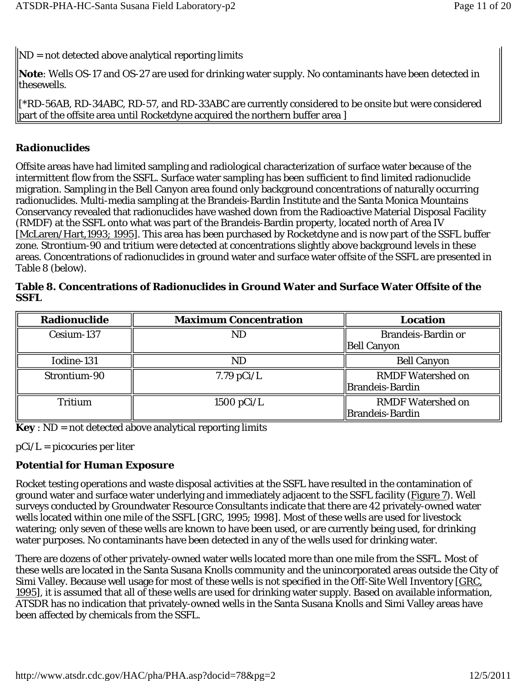$\|ND = \text{not detected above analytical reporting limits}$ 

**Note**: Wells OS-17 and OS-27 are used for drinking water supply. No contaminants have been detected in thesewells.

[\*RD-56AB, RD-34ABC, RD-57, and RD-33ABC are currently considered to be onsite but were considered part of the offsite area until Rocketdyne acquired the northern buffer area ]

### *Radionuclides*

Offsite areas have had limited sampling and radiological characterization of surface water because of the intermittent flow from the SSFL. Surface water sampling has been sufficient to find limited radionuclide migration. Sampling in the Bell Canyon area found only background concentrations of naturally occurring radionuclides. Multi-media sampling at the Brandeis-Bardin Institute and the Santa Monica Mountains Conservancy revealed that radionuclides have washed down from the Radioactive Material Disposal Facility (RMDF) at the SSFL onto what was part of the Brandeis-Bardin property, located north of Area IV [McLaren/Hart,1993; 1995]. This area has been purchased by Rocketdyne and is now part of the SSFL buffer zone. Strontium-90 and tritium were detected at concentrations slightly above background levels in these areas. Concentrations of radionuclides in ground water and surface water offsite of the SSFL are presented in Table 8 (below).

| 55FL         |                              |                                                 |
|--------------|------------------------------|-------------------------------------------------|
| Radionuclide | <b>Maximum Concentration</b> | Location                                        |
| Cesium-137   | <b>ND</b>                    | <b>Brandeis-Bardin or</b><br><b>Bell Canyon</b> |
| Iodine-131   | ND                           | <b>Bell Canyon</b>                              |
| Strontium-90 | $7.79 \text{ pCi/L}$         | <b>RMDF Watershed on</b><br>Brandeis-Bardin     |

Tritium  $\parallel$  1500 pCi/L RMDF Watershed on

Brandeis-Bardin

| Table 8. Concentrations of Radionuclides in Ground Water and Surface Water Offsite of the |  |
|-------------------------------------------------------------------------------------------|--|
| <b>SSFL</b>                                                                               |  |

**Key** : ND = not detected above analytical reporting limits

 $pCi/L = picocuries$  per liter

## *Potential for Human Exposure*

Rocket testing operations and waste disposal activities at the SSFL have resulted in the contamination of ground water and surface water underlying and immediately adjacent to the SSFL facility (Figure 7). Well surveys conducted by Groundwater Resource Consultants indicate that there are 42 privately-owned water wells located within one mile of the SSFL [GRC, 1995; 1998]. Most of these wells are used for livestock watering; only seven of these wells are known to have been used, or are currently being used, for drinking water purposes. No contaminants have been detected in any of the wells used for drinking water.

There are dozens of other privately-owned water wells located more than one mile from the SSFL. Most of these wells are located in the Santa Susana Knolls community and the unincorporated areas outside the City of Simi Valley. Because well usage for most of these wells is not specified in the Off-Site Well Inventory [GRC, 1995], it is assumed that all of these wells are used for drinking water supply. Based on available information, ATSDR has no indication that privately-owned wells in the Santa Susana Knolls and Simi Valley areas have been affected by chemicals from the SSFL.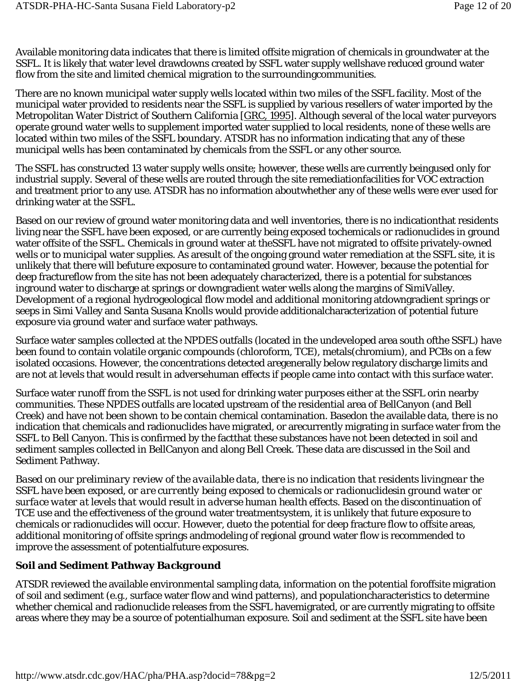Available monitoring data indicates that there is limited offsite migration of chemicals in groundwater at the SSFL. It is likely that water level drawdowns created by SSFL water supply wellshave reduced ground water flow from the site and limited chemical migration to the surroundingcommunities.

There are no known municipal water supply wells located within two miles of the SSFL facility. Most of the municipal water provided to residents near the SSFL is supplied by various resellers of water imported by the Metropolitan Water District of Southern California [GRC, 1995]. Although several of the local water purveyors operate ground water wells to supplement imported water supplied to local residents, none of these wells are located within two miles of the SSFL boundary. ATSDR has no information indicating that any of these municipal wells has been contaminated by chemicals from the SSFL or any other source.

The SSFL has constructed 13 water supply wells onsite; however, these wells are currently beingused only for industrial supply. Several of these wells are routed through the site remediationfacilities for VOC extraction and treatment prior to any use. ATSDR has no information aboutwhether any of these wells were ever used for drinking water at the SSFL.

Based on our review of ground water monitoring data and well inventories, there is no indicationthat residents living near the SSFL have been exposed, or are currently being exposed tochemicals or radionuclides in ground water offsite of the SSFL. Chemicals in ground water at theSSFL have not migrated to offsite privately-owned wells or to municipal water supplies. As aresult of the ongoing ground water remediation at the SSFL site, it is unlikely that there will befuture exposure to contaminated ground water. However, because the potential for deep fractureflow from the site has not been adequately characterized, there is a potential for substances inground water to discharge at springs or downgradient water wells along the margins of SimiValley. Development of a regional hydrogeological flow model and additional monitoring atdowngradient springs or seeps in Simi Valley and Santa Susana Knolls would provide additionalcharacterization of potential future exposure via ground water and surface water pathways.

Surface water samples collected at the NPDES outfalls (located in the undeveloped area south ofthe SSFL) have been found to contain volatile organic compounds (chloroform, TCE), metals(chromium), and PCBs on a few isolated occasions. However, the concentrations detected aregenerally below regulatory discharge limits and are not at levels that would result in adversehuman effects if people came into contact with this surface water.

Surface water runoff from the SSFL is not used for drinking water purposes either at the SSFL orin nearby communities. These NPDES outfalls are located upstream of the residential area of BellCanyon (and Bell Creek) and have not been shown to be contain chemical contamination. Basedon the available data, there is no indication that chemicals and radionuclides have migrated, or arecurrently migrating in surface water from the SSFL to Bell Canyon. This is confirmed by the factthat these substances have not been detected in soil and sediment samples collected in BellCanyon and along Bell Creek. These data are discussed in the Soil and Sediment Pathway.

*Based on our preliminary review of the available data, there is no indication that residents livingnear the SSFL have been exposed, or are currently being exposed to chemicals or radionuclidesin ground water or surface water at levels that would result in adverse human health effects.* Based on the discontinuation of TCE use and the effectiveness of the ground water treatmentsystem, it is unlikely that future exposure to chemicals or radionuclides will occur. However, dueto the potential for deep fracture flow to offsite areas, additional monitoring of offsite springs andmodeling of regional ground water flow is recommended to improve the assessment of potentialfuture exposures.

### **Soil and Sediment Pathway** *Background*

ATSDR reviewed the available environmental sampling data, information on the potential foroffsite migration of soil and sediment (e.g., surface water flow and wind patterns), and populationcharacteristics to determine whether chemical and radionuclide releases from the SSFL havemigrated, or are currently migrating to offsite areas where they may be a source of potentialhuman exposure. Soil and sediment at the SSFL site have been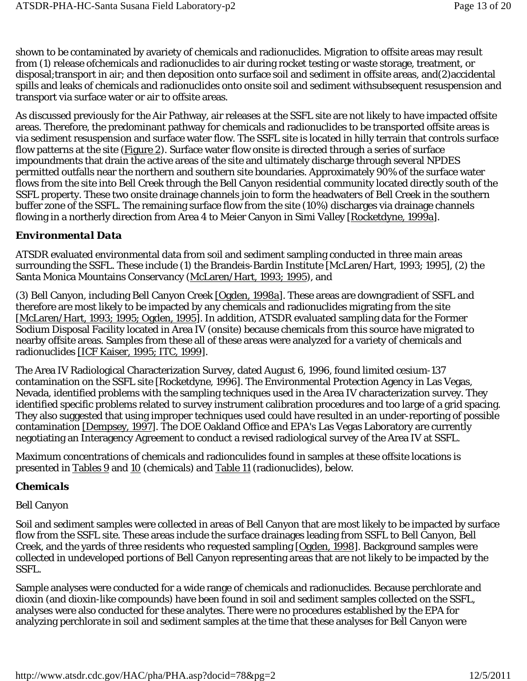shown to be contaminated by avariety of chemicals and radionuclides. Migration to *offsite* areas may result from (1) release ofchemicals and radionuclides to air during rocket testing or waste storage, treatment, or disposal;transport in air; and then deposition onto surface soil and sediment in offsite areas, and(2)accidental spills and leaks of chemicals and radionuclides onto onsite soil and sediment withsubsequent resuspension and transport via surface water or air to offsite areas.

As discussed previously for the Air Pathway, air releases at the SSFL site are not likely to have impacted offsite areas. Therefore, the predominant pathway for chemicals and radionuclides to be transported offsite areas is via sediment resuspension and surface water flow. The SSFL site is located in hilly terrain that controls surface flow patterns at the site (Figure 2). Surface water flow onsite is directed through a series of surface impoundments that drain the active areas of the site and ultimately discharge through several NPDES permitted outfalls near the northern and southern site boundaries. Approximately 90% of the surface water flows from the site into Bell Creek through the Bell Canyon residential community located directly south of the SSFL property. These two onsite drainage channels join to form the headwaters of Bell Creek in the southern buffer zone of the SSFL. The remaining surface flow from the site (10%) discharges via drainage channels flowing in a northerly direction from Area 4 to Meier Canyon in Simi Valley [Rocketdyne, 1999a].

### *Environmental Data*

ATSDR evaluated environmental data from soil and sediment sampling conducted in three main areas surrounding the SSFL. These include (1) the Brandeis-Bardin Institute [McLaren/Hart, 1993; 1995], (2) the Santa Monica Mountains Conservancy (McLaren/Hart, 1993; 1995), and

(3) Bell Canyon, including Bell Canyon Creek [Ogden, 1998a]. These areas are downgradient of SSFL and therefore are most likely to be impacted by any chemicals and radionuclides migrating from the site [McLaren/Hart, 1993; 1995; Ogden, 1995]. In addition, ATSDR evaluated sampling data for the Former Sodium Disposal Facility located in Area IV (onsite) because chemicals from this source have migrated to nearby offsite areas. Samples from these all of these areas were analyzed for a variety of chemicals and radionuclides [ICF Kaiser, 1995; ITC, 1999].

The Area IV Radiological Characterization Survey, dated August 6, 1996, found limited cesium-137 contamination on the SSFL site [Rocketdyne, 1996]. The Environmental Protection Agency in Las Vegas, Nevada, identified problems with the sampling techniques used in the Area IV characterization survey. They identified specific problems related to survey instrument calibration procedures and too large of a grid spacing. They also suggested that using improper techniques used could have resulted in an under-reporting of possible contamination [Dempsey, 1997]. The DOE Oakland Office and EPA's Las Vegas Laboratory are currently negotiating an Interagency Agreement to conduct a revised radiological survey of the Area IV at SSFL.

Maximum concentrations of chemicals and radionculides found in samples at these offsite locations is presented in Tables 9 and 10 (chemicals) and Table 11 (radionuclides), below.

### *Chemicals*

#### Bell Canyon

Soil and sediment samples were collected in areas of Bell Canyon that are most likely to be impacted by surface flow from the SSFL site. These areas include the surface drainages leading from SSFL to Bell Canyon, Bell Creek, and the yards of three residents who requested sampling [Ogden, 1998]. Background samples were collected in undeveloped portions of Bell Canyon representing areas that are not likely to be impacted by the SSFL.

Sample analyses were conducted for a wide range of chemicals and radionuclides. Because perchlorate and dioxin (and dioxin-like compounds) have been found in soil and sediment samples collected on the SSFL, analyses were also conducted for these analytes. There were no procedures established by the EPA for analyzing perchlorate in soil and sediment samples at the time that these analyses for Bell Canyon were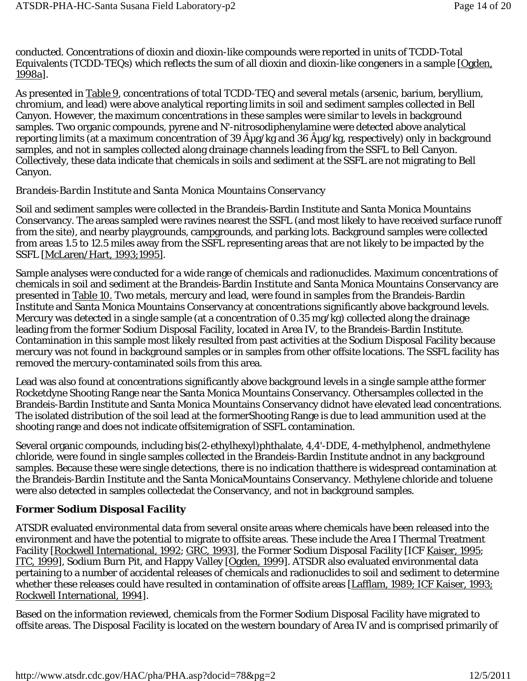conducted. Concentrations of dioxin and dioxin-like compounds were reported in units of TCDD-Total Equivalents (TCDD-TEQs) which reflects the sum of all dioxin and dioxin-like congeners in a sample [Ogden, 1998a].

As presented in Table 9, concentrations of total TCDD-TEQ and several metals (arsenic, barium, beryllium, chromium, and lead) were above analytical reporting limits in soil and sediment samples collected in Bell Canyon. However, the maximum concentrations in these samples were similar to levels in background samples. Two organic compounds, pyrene and N'-nitrosodiphenylamine were detected above analytical reporting limits (at a maximum concentration of 39 Aug/kg and 36 Aug/kg, respectively) *only* in background samples, and *not* in samples collected along drainage channels leading from the SSFL to Bell Canyon. Collectively, these data indicate that chemicals in soils and sediment at the SSFL are not migrating to Bell Canyon.

#### *Brandeis-Bardin Institute and Santa Monica Mountains Conservancy*

Soil and sediment samples were collected in the Brandeis-Bardin Institute and Santa Monica Mountains Conservancy. The areas sampled were ravines nearest the SSFL (and most likely to have received surface runoff from the site), and nearby playgrounds, campgrounds, and parking lots. Background samples were collected from areas 1.5 to 12.5 miles away from the SSFL representing areas that are not likely to be impacted by the SSFL [McLaren/Hart, 1993;1995].

Sample analyses were conducted for a wide range of chemicals and radionuclides. Maximum concentrations of chemicals in soil and sediment at the Brandeis-Bardin Institute and Santa Monica Mountains Conservancy are presented in Table 10. Two metals, mercury and lead, were found in samples from the Brandeis-Bardin Institute and Santa Monica Mountains Conservancy at concentrations significantly above background levels. Mercury was detected in a single sample (at a concentration of 0.35 mg/kg) collected along the drainage leading from the former Sodium Disposal Facility, located in Area IV, to the Brandeis-Bardin Institute. Contamination in this sample most likely resulted from past activities at the Sodium Disposal Facility because mercury was not found in background samples or in samples from other offsite locations. The SSFL facility has removed the mercury-contaminated soils from this area.

Lead was also found at concentrations significantly above background levels in a single sample atthe former Rocketdyne Shooting Range near the Santa Monica Mountains Conservancy. Othersamples collected in the Brandeis-Bardin Institute and Santa Monica Mountains Conservancy didnot have elevated lead concentrations. The isolated distribution of the soil lead at the formerShooting Range is due to lead ammunition used at the shooting range and does not indicate offsitemigration of SSFL contamination.

Several organic compounds, including bis(2-ethylhexyl)phthalate, 4,4'-DDE, 4-methylphenol, andmethylene chloride, were found in *single* samples collected in the Brandeis-Bardin Institute andnot in any background samples. Because these were single detections, there is no indication thatthere is widespread contamination at the Brandeis-Bardin Institute and the Santa MonicaMountains Conservancy. Methylene chloride and toluene were also detected in samples collectedat the Conservancy, and not in background samples.

### *Former Sodium Disposal Facility*

ATSDR evaluated environmental data from several *onsite* areas where chemicals have been released into the environment and have the potential to migrate to offsite areas. These include the Area I Thermal Treatment Facility [Rockwell International, 1992; GRC, 1993], the Former Sodium Disposal Facility [ICF Kaiser, 1995; ITC, 1999], Sodium Burn Pit, and Happy Valley [Ogden, 1999]. ATSDR also evaluated environmental data pertaining to a number of accidental releases of chemicals and radionuclides to soil and sediment to determine whether these releases could have resulted in contamination of offsite areas [Lafflam, 1989; ICF Kaiser, 1993; Rockwell International, 1994].

Based on the information reviewed, chemicals from the Former Sodium Disposal Facility have migrated to offsite areas. The Disposal Facility is located on the western boundary of Area IV and is comprised primarily of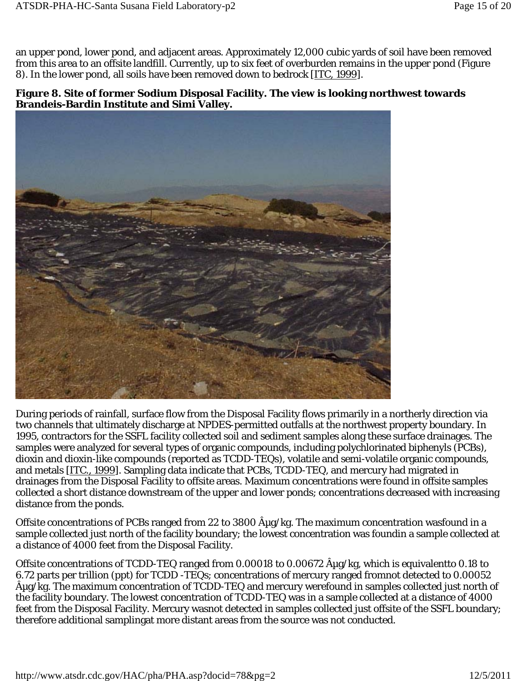an upper pond, lower pond, and adjacent areas. Approximately 12,000 cubic yards of soil have been removed from this area to an offsite landfill. Currently, up to six feet of overburden remains in the upper pond (Figure 8). In the lower pond, all soils have been removed down to bedrock [ITC, 1999].

#### **Figure 8. Site of former Sodium Disposal Facility. The view is looking northwest towards Brandeis-Bardin Institute and Simi Valley.**



During periods of rainfall, surface flow from the Disposal Facility flows primarily in a northerly direction via two channels that ultimately discharge at NPDES-permitted outfalls at the northwest property boundary. In 1995, contractors for the SSFL facility collected soil and sediment samples along these surface drainages. The samples were analyzed for several types of organic compounds, including polychlorinated biphenyls (PCBs), dioxin and dioxin-like compounds (reported as TCDD-TEQs), volatile and semi-volatile organic compounds, and metals [ITC., 1999]. Sampling data indicate that PCBs, TCDD-TEQ, and mercury had migrated in drainages from the Disposal Facility to offsite areas. Maximum concentrations were found in offsite samples collected a short distance downstream of the upper and lower ponds; concentrations decreased with increasing distance from the ponds.

Offsite concentrations of PCBs ranged from 22 to 3800  $\rm{A}\mu g/kg$ . The maximum concentration wasfound in a sample collected just north of the facility boundary; the lowest concentration was foundin a sample collected at a distance of 4000 feet from the Disposal Facility.

Offsite concentrations of TCDD-TEQ ranged from 0.00018 to 0.00672  $\hat{A}_{\mu}$ g/kg, which is equivalentto 0.18 to 6.72 parts per trillion (ppt) for TCDD -TEQs; concentrations of mercury ranged fromnot detected to 0.00052  $\rm \hat{A} \mu g/kg$ . The maximum concentration of TCDD-TEQ and mercury werefound in samples collected just north of the facility boundary. The lowest concentration of TCDD-TEQ was in a sample collected at a distance of 4000 feet from the Disposal Facility. Mercury wasnot detected in samples collected just offsite of the SSFL boundary; therefore additional samplingat more distant areas from the source was not conducted.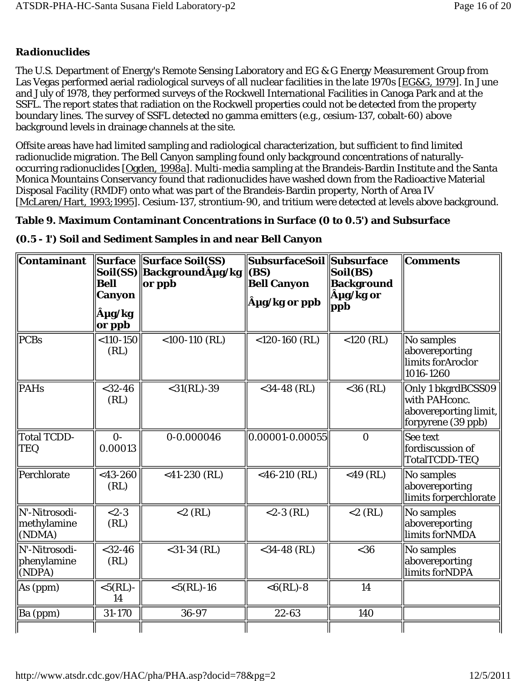# *Radionuclides*

The U.S. Department of Energy's Remote Sensing Laboratory and EG & G Energy Measurement Group from Las Vegas performed aerial radiological surveys of all nuclear facilities in the late 1970s [EG&G, 1979]. In June and July of 1978, they performed surveys of the Rockwell International Facilities in Canoga Park and at the SSFL. The report states that radiation on the Rockwell properties could not be detected from the property boundary lines. The survey of SSFL detected no gamma emitters (e.g., cesium-137, cobalt-60) above background levels in drainage channels at the site.

Offsite areas have had limited sampling and radiological characterization, but sufficient to find limited radionuclide migration. The Bell Canyon sampling found only background concentrations of naturallyoccurring radionuclides [Ogden, 1998a]. Multi-media sampling at the Brandeis-Bardin Institute and the Santa Monica Mountains Conservancy found that radionuclides have washed down from the Radioactive Material Disposal Facility (RMDF) onto what was part of the Brandeis-Bardin property, North of Area IV [McLaren/Hart, 1993;1995]. Cesium-137, strontium-90, and tritium were detected at levels above background.

# **Table 9. Maximum Contaminant Concentrations in Surface (0 to 0.5') and Subsurface**

| Contaminant                            | Soil(SS)<br><b>Bell</b><br>Canyon<br>µg/kg<br>or ppb | Surface Surface Soil(SS)<br>  Backgroundµg/kg<br>or ppb | <b>SubsurfaceSoil   Subsurface</b><br><b>(BS)</b><br><b>Bell Canyon</b><br>µg/kg or ppb | Soil(BS)<br><b>Background</b><br>µg/kg or<br>ppb | Comments                                                                           |
|----------------------------------------|------------------------------------------------------|---------------------------------------------------------|-----------------------------------------------------------------------------------------|--------------------------------------------------|------------------------------------------------------------------------------------|
| <b>PCBs</b>                            | $< 110 - 150$<br>(RL)                                | $<$ 100-110 $(RL)$                                      | $<$ 120-160 $(RL)$                                                                      | $<$ 120 (RL)                                     | No samples<br>abovereporting<br>limits for Aroclor<br>1016-1260                    |
| <b>PAHs</b>                            | $<$ 32-46<br>(RL)                                    | $<$ 31(RL)-39                                           | $<$ 34-48 (RL)                                                                          | $<$ 36 (RL)                                      | Only 1 bkgrdBCSS09<br>with PAHconc.<br>abovereporting limit,<br>forpyrene (39 ppb) |
| <b>Total TCDD-</b><br><b>TEQ</b>       | $0 -$<br>0.00013                                     | 0-0.000046                                              | 0.00001-0.00055                                                                         | $\mathbf{0}$                                     | <b>See text</b><br>fordiscussion of<br>TotalTCDD-TEQ                               |
| Perchlorate                            | $<$ 43-260<br>(RL)                                   | $<$ 41-230 (RL)                                         | <46-210 $(RL)$                                                                          | $<$ 49 (RL)                                      | No samples<br>abovereporting<br>limits forperchlorate                              |
| N'-Nitrosodi-<br>methylamine<br>(NDMA) | $< 2 - 3$<br>(RL)                                    | $<$ 2 (RL)                                              | $<$ 2-3 (RL)                                                                            | $<$ 2 (RL)                                       | No samples<br>abovereporting<br>limits forNMDA                                     |
| N'-Nitrosodi-<br>phenylamine<br>(NDPA) | $<$ 32-46<br>(RL)                                    | $<$ 31-34 (RL)                                          | $<$ 34-48 (RL)                                                                          | $<$ 36                                           | No samples<br>abovereporting<br>limits forNDPA                                     |
| As (ppm)                               | $<$ 5(RL)-<br>14                                     | $<$ 5(RL)-16                                            | $<6(RL) - 8$                                                                            | 14                                               |                                                                                    |
| Ba (ppm)                               | 31-170                                               | 36-97                                                   | 22-63                                                                                   | 140                                              |                                                                                    |

### **(0.5 - 1') Soil and Sediment Samples in and near Bell Canyon**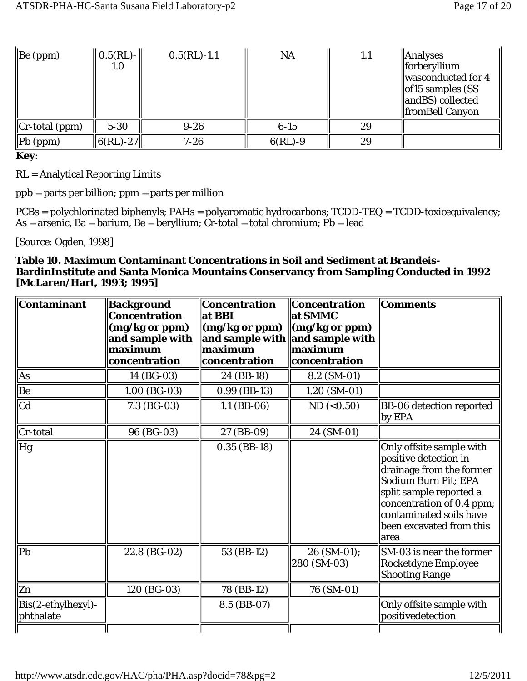| $\left  \text{Be (ppm)} \right $ | $\  0.5(RL) - \ $<br>1.0    | $0.5(RL) - 1.1$ | NA          | 1.1 | $\parallel$ Analyses<br>$\ $ forberyllium<br>wasconducted for 4<br>$\parallel$ of 15 samples (SS<br>$\parallel$ andBS) collected<br><b>fromBell Canyon</b> |
|----------------------------------|-----------------------------|-----------------|-------------|-----|------------------------------------------------------------------------------------------------------------------------------------------------------------|
| $\ $ Cr-total (ppm)              | $5 - 30$                    | $9 - 26$        | $6 - 15$    | 29  |                                                                                                                                                            |
| $\ Pb$ (ppm)                     | $\ 6(\mathrm{RL})$ -27 $\ $ | $7 - 26$        | $6(RL) - 9$ | 29  |                                                                                                                                                            |

**Key**:

RL = Analytical Reporting Limits

ppb = parts per billion; ppm = parts per million

PCBs = polychlorinated biphenyls; PAHs = polyaromatic hydrocarbons; TCDD-TEQ = TCDD-toxicequivalency;  $As = arsenic$ ,  $Ba = barium$ ,  $Be = beryllium$ ;  $Cr$ -total = total chromium;  $Pb = lead$ 

[Source: Ogden, 1998]

#### **Table 10. Maximum Contaminant Concentrations in Soil and Sediment at Brandeis-BardinInstitute and Santa Monica Mountains Conservancy from Sampling Conducted in 1992 [McLaren/Hart, 1993; 1995]**

| <b>Contaminant</b>                 | Background<br><b>Concentration</b><br>(mg/kg or ppm)<br>and sample with<br>maximum<br>concentration | <b>Concentration</b><br>at BBI<br>(mg/kg or ppm)<br>and sample with and sample with<br>maximum<br>concentration | <b>Concentration</b><br>at SMMC<br>$\langle \mathbf{mg}/\mathbf{kg} \rangle$ or ppm<br>maximum<br>concentration | <b>Comments</b>                                                                                                                                                                                                              |
|------------------------------------|-----------------------------------------------------------------------------------------------------|-----------------------------------------------------------------------------------------------------------------|-----------------------------------------------------------------------------------------------------------------|------------------------------------------------------------------------------------------------------------------------------------------------------------------------------------------------------------------------------|
| As                                 | 14 (BG-03)                                                                                          | 24 (BB-18)                                                                                                      | 8.2 (SM-01)                                                                                                     |                                                                                                                                                                                                                              |
| Be                                 | $1.00$ (BG-03)                                                                                      | $0.99$ (BB-13)                                                                                                  | $1.20$ (SM-01)                                                                                                  |                                                                                                                                                                                                                              |
| <sub>cd</sub>                      | $7.3$ (BG-03)                                                                                       | $1.1$ (BB-06)                                                                                                   | ND (< 0.50)                                                                                                     | <b>BB-06 detection reported</b><br>by EPA                                                                                                                                                                                    |
| Cr-total                           | 96 (BG-03)                                                                                          | 27 (BB-09)                                                                                                      | 24 (SM-01)                                                                                                      |                                                                                                                                                                                                                              |
| Hg                                 |                                                                                                     | $0.35$ (BB-18)                                                                                                  |                                                                                                                 | Only offsite sample with<br>positive detection in<br>drainage from the former<br>Sodium Burn Pit; EPA<br>split sample reported a<br>concentration of 0.4 ppm;<br>contaminated soils have<br>been excavated from this<br>area |
| P <sub>b</sub>                     | 22.8 (BG-02)                                                                                        | 53 (BB-12)                                                                                                      | 26 (SM-01);<br>280 (SM-03)                                                                                      | SM-03 is near the former<br><b>Rocketdyne Employee</b><br><b>Shooting Range</b>                                                                                                                                              |
| Zn                                 | 120 (BG-03)                                                                                         | 78 (BB-12)                                                                                                      | 76 (SM-01)                                                                                                      |                                                                                                                                                                                                                              |
| $Big(2-ethylhexyl)$ -<br>phthalate |                                                                                                     | 8.5 (BB-07)                                                                                                     |                                                                                                                 | Only offsite sample with<br>positivedetection                                                                                                                                                                                |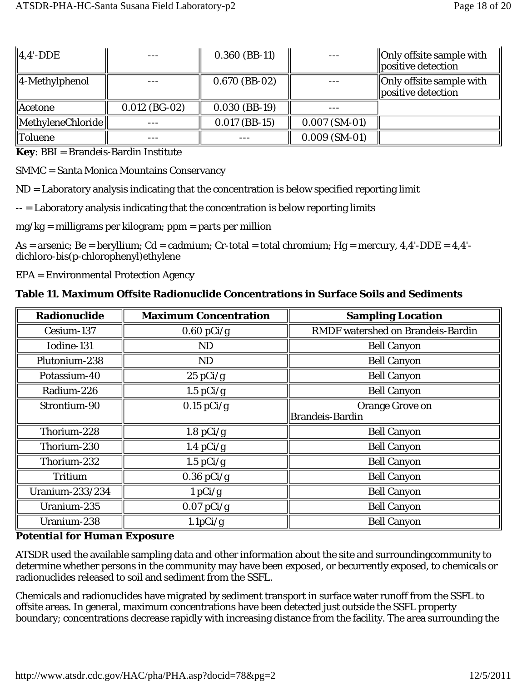| $\parallel$ 4.4'-DDE              |                 | $0.360$ (BB-11) |                 | <b>Only offsite sample with</b><br>positive detection |
|-----------------------------------|-----------------|-----------------|-----------------|-------------------------------------------------------|
| $\parallel$ 4-Methylphenol        |                 | $0.670$ (BB-02) |                 | Only offsite sample with<br>positive detection        |
| Acetone                           | $0.012$ (BG-02) | $0.030$ (BB-19) |                 |                                                       |
| $\Vert$ MethyleneChloride $\Vert$ |                 | $0.017$ (BB-15) | $0.007$ (SM-01) |                                                       |
| <b>Toluene</b>                    |                 |                 | $0.009$ (SM-01) |                                                       |

**Key**: BBI = Brandeis-Bardin Institute

SMMC = Santa Monica Mountains Conservancy

ND = Laboratory analysis indicating that the concentration is below specified reporting limit

-- = Laboratory analysis indicating that the concentration is below reporting limits

 $mg/kg =$  milligrams per kilogram; ppm = parts per million

As = arsenic; Be = beryllium; Cd = cadmium; Cr-total = total chromium; Hg = mercury, 4,4'-DDE = 4,4' dichloro-bis(p-chlorophenyl)ethylene

EPA = Environmental Protection Agency

**Table 11. Maximum Offsite Radionuclide Concentrations in Surface Soils and Sediments**

| <b>Radionuclide</b>    | <b>Maximum Concentration</b> | <b>Sampling Location</b>                 |
|------------------------|------------------------------|------------------------------------------|
| Cesium-137             | $0.60$ pCi/g                 | <b>RMDF</b> watershed on Brandeis-Bardin |
| Iodine-131             | <b>ND</b>                    | <b>Bell Canyon</b>                       |
| Plutonium-238          | <b>ND</b>                    | <b>Bell Canyon</b>                       |
| Potassium-40           | $25 \text{ pCi/g}$           | <b>Bell Canyon</b>                       |
| Radium-226             | $1.5$ pCi/g                  | <b>Bell Canyon</b>                       |
| Strontium-90           | $0.15$ pCi/g                 | <b>Orange Grove on</b>                   |
|                        |                              | Brandeis-Bardin                          |
| Thorium-228            | $1.8$ pCi/g                  | <b>Bell Canyon</b>                       |
| Thorium-230            | 1.4 $pCi/g$                  | <b>Bell Canyon</b>                       |
| Thorium-232            | 1.5 $pCi/g$                  | <b>Bell Canyon</b>                       |
| <b>Tritium</b>         | $0.36$ pCi/g                 | <b>Bell Canyon</b>                       |
| <b>Uranium-233/234</b> | 1 pCi/g                      | <b>Bell Canyon</b>                       |
| Uranium-235            | $0.07$ pCi/g                 | <b>Bell Canyon</b>                       |
| Uranium-238            | 1.1pCi/g                     | <b>Bell Canyon</b>                       |

### *Potential for Human Exposure*

ATSDR used the available sampling data and other information about the site and surroundingcommunity to determine whether persons in the community may have been exposed, or becurrently exposed, to chemicals or radionuclides released to soil and sediment from the SSFL.

Chemicals and radionuclides have migrated by sediment transport in surface water runoff from the SSFL to offsite areas. In general, maximum concentrations have been detected *just outside* the SSFL property boundary; concentrations decrease rapidly with increasing distance from the facility. The area surrounding the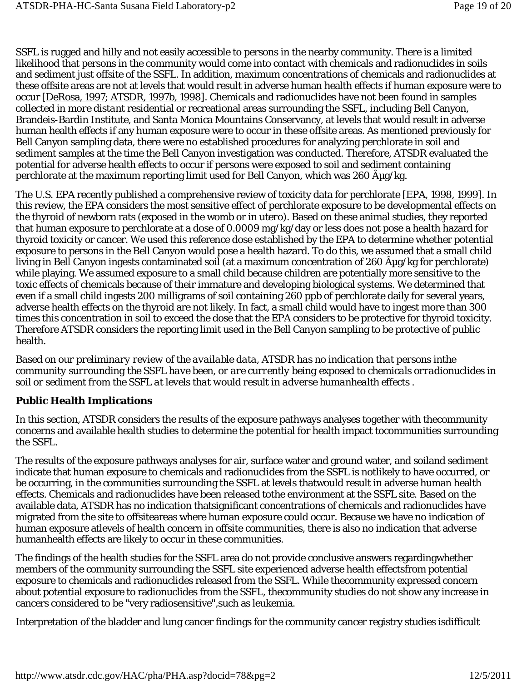SSFL is rugged and hilly and not easily accessible to persons in the nearby community. There is a limited likelihood that persons in the community would come into contact with chemicals and radionuclides in soils and sediment just offsite of the SSFL. In addition, maximum concentrations of chemicals and radionuclides at these offsite areas are not at levels that would result in adverse human health effects if human exposure were to occur [DeRosa, 1997; ATSDR, 1997b, 1998]. Chemicals and radionuclides have not been found in samples collected in *more distant* residential or recreational areas surrounding the SSFL, including Bell Canyon, Brandeis-Bardin Institute, and Santa Monica Mountains Conservancy, at levels that would result in adverse human health effects if any human exposure were to occur in these offsite areas. As mentioned previously for Bell Canyon sampling data, there were no established procedures for analyzing perchlorate in soil and sediment samples at the time the Bell Canyon investigation was conducted. Therefore, ATSDR evaluated the potential for adverse health effects to occur if persons were exposed to soil and sediment containing perchlorate at the maximum reporting limit used for Bell Canyon, which was 260  $\rm \hat{A} \mu g/kg$ .

The U.S. EPA recently published a comprehensive review of toxicity data for perchlorate [EPA, 1998, 1999]. In this review, the EPA considers the most sensitive effect of perchlorate exposure to be developmental effects on the thyroid of newborn rats (exposed in the womb or *in utero*). Based on these animal studies, they reported that human exposure to perchlorate at a dose of 0.0009 mg/kg/day or less does not pose a health hazard for thyroid toxicity or cancer. We used this reference dose established by the EPA to determine whether potential exposure to persons in the Bell Canyon would pose a health hazard. To do this, we assumed that a small child living in Bell Canyon ingests contaminated soil (at a maximum concentration of 260  $\hat{A}_{\mu}$ g/kg for perchlorate) while playing. We assumed exposure to a small child because children are potentially more sensitive to the toxic effects of chemicals because of their immature and developing biological systems. We determined that even if a small child ingests 200 milligrams of soil containing 260 ppb of perchlorate daily for several years, adverse health effects on the thyroid are not likely. In fact, a small child would have to ingest more than 300 times this concentration in soil to exceed the dose that the EPA considers to be protective for thyroid toxicity. Therefore ATSDR considers the reporting limit used in the Bell Canyon sampling to be protective of public health.

*Based on our preliminary review of the available data, ATSDR has no indication that persons inthe community surrounding the SSFL have been, or are currently being exposed to chemicals orradionuclides in soil or sediment from the SSFL at levels that would result in adverse humanhealth effects .* 

### **Public Health Implications**

In this section, ATSDR considers the results of the exposure pathways analyses together with thecommunity concerns and available health studies to determine the potential for health impact tocommunities surrounding the SSFL.

The results of the exposure pathways analyses for air, surface water and ground water, and soiland sediment indicate that human exposure to chemicals and radionuclides from the SSFL is notlikely to have occurred, or be occurring, in the communities surrounding the SSFL at levels thatwould result in adverse human health effects. Chemicals and radionuclides have been released tothe environment at the SSFL site. Based on the available data, ATSDR has no indication thatsignificant concentrations of chemicals and radionuclides have migrated from the site to offsiteareas where human exposure could occur. Because we have no indication of human exposure atlevels of health concern in offsite communities, there is also no indication that adverse humanhealth effects are likely to occur in these communities.

The findings of the health studies for the SSFL area do not provide conclusive answers regardingwhether members of the community surrounding the SSFL site experienced adverse health effectsfrom potential exposure to chemicals and radionuclides released from the SSFL. While thecommunity expressed concern about potential exposure to radionuclides from the SSFL, thecommunity studies do not show any increase in cancers considered to be "very radiosensitive",such as leukemia.

Interpretation of the bladder and lung cancer findings for the community cancer registry studies isdifficult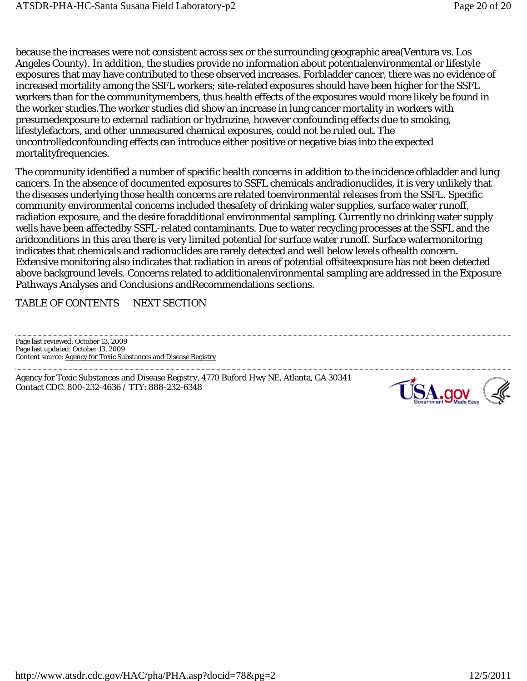because the increases were not consistent across sex or the surrounding geographic area(Ventura vs. Los Angeles County). In addition, the studies provide no information about potentialenvironmental or lifestyle exposures that may have contributed to these observed increases. Forbladder cancer, there was no evidence of increased mortality among the SSFL workers; site-related exposures should have been higher for the SSFL workers than for the communitymembers, thus health effects of the exposures would more likely be found in the worker studies.The worker studies did show an increase in lung cancer mortality in workers with presumedexposure to external radiation or hydrazine, however confounding effects due to smoking, lifestylefactors, and other unmeasured chemical exposures, could not be ruled out. The uncontrolledconfounding effects can introduce either positive or negative bias into the expected mortalityfrequencies.

The community identified a number of specific health concerns in addition to the incidence ofbladder and lung cancers. In the absence of documented exposures to SSFL chemicals andradionuclides, it is very unlikely that the diseases underlying those health concerns are related toenvironmental releases from the SSFL. Specific community environmental concerns included thesafety of drinking water supplies, surface water runoff, radiation exposure, and the desire foradditional environmental sampling. Currently no drinking water supply wells have been affectedby SSFL-related contaminants. Due to water recycling processes at the SSFL and the aridconditions in this area there is very limited potential for surface water runoff. Surface watermonitoring indicates that chemicals and radionuclides are rarely detected and well below levels ofhealth concern. Extensive monitoring also indicates that radiation in areas of potential offsiteexposure has not been detected above background levels. Concerns related to additionalenvironmental sampling are addressed in the Exposure Pathways Analyses and Conclusions andRecommendations sections.

### TABLE OF CONTENTS NEXT SECTION

Page last reviewed: October 13, 2009 Page last updated: October 13, 2009 Content source: Agency for Toxic Substances and Disease Registry

Agency for Toxic Substances and Disease Registry, 4770 Buford Hwy NE, Atlanta, GA 30341 Contact CDC: 800-232-4636 / TTY: 888-232-6348

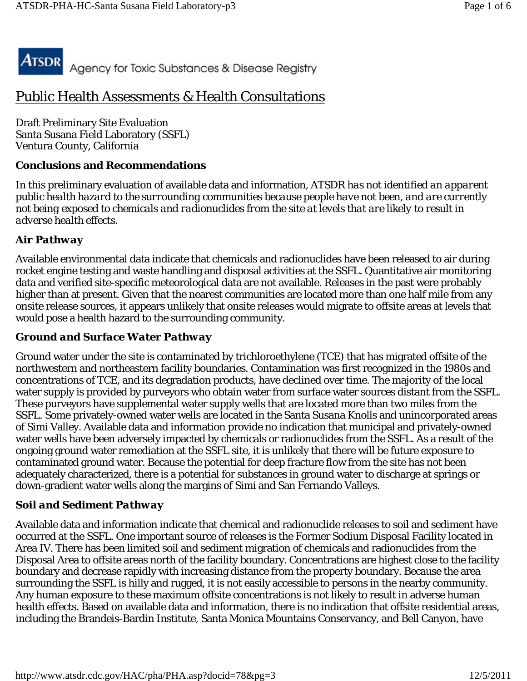

# Public Health Assessments & Health Consultations

Draft Preliminary Site Evaluation Santa Susana Field Laboratory (SSFL) Ventura County, California

### **Conclusions and Recommendations**

In this preliminary evaluation of available data and information, *ATSDR has not identified an apparent public health hazard to the surrounding communities because people have not been, and are currently not being exposed to chemicals and radionuclides from the site at levels that are likely to result in adverse health effects.*

## *Air Pathway*

Available environmental data indicate that chemicals and radionuclides have been released to air during rocket engine testing and waste handling and disposal activities at the SSFL. Quantitative air monitoring data and verified site-specific meteorological data are not available. Releases in the past were probably higher than at present. Given that the nearest communities are located more than one half mile from any onsite release sources, it appears unlikely that onsite releases would migrate to offsite areas at levels that would pose a health hazard to the surrounding community.

## *Ground and Surface Water Pathway*

Ground water under the site is contaminated by trichloroethylene (TCE) that has migrated offsite of the northwestern and northeastern facility boundaries. Contamination was first recognized in the 1980s and concentrations of TCE, and its degradation products, have declined over time. The majority of the local water supply is provided by purveyors who obtain water from surface water sources distant from the SSFL. These purveyors have supplemental water supply wells that are located more than two miles from the SSFL. Some privately-owned water wells are located in the Santa Susana Knolls and unincorporated areas of Simi Valley. Available data and information provide no indication that municipal and privately-owned water wells have been adversely impacted by chemicals or radionuclides from the SSFL. As a result of the ongoing ground water remediation at the SSFL site, it is unlikely that there will be future exposure to contaminated ground water. Because the potential for deep fracture flow from the site has not been adequately characterized, there is a potential for substances in ground water to discharge at springs or down-gradient water wells along the margins of Simi and San Fernando Valleys.

## *Soil and Sediment Pathway*

Available data and information indicate that chemical and radionuclide releases to soil and sediment have occurred at the SSFL. One important source of releases is the Former Sodium Disposal Facility located in Area IV. There has been limited soil and sediment migration of chemicals and radionuclides from the Disposal Area to offsite areas north of the facility boundary. Concentrations are highest close to the facility boundary and decrease rapidly with increasing distance from the property boundary. Because the area surrounding the SSFL is hilly and rugged, it is not easily accessible to persons in the nearby community. Any human exposure to these maximum offsite concentrations is not likely to result in adverse human health effects. Based on available data and information, there is no indication that offsite residential areas, including the Brandeis-Bardin Institute, Santa Monica Mountains Conservancy, and Bell Canyon, have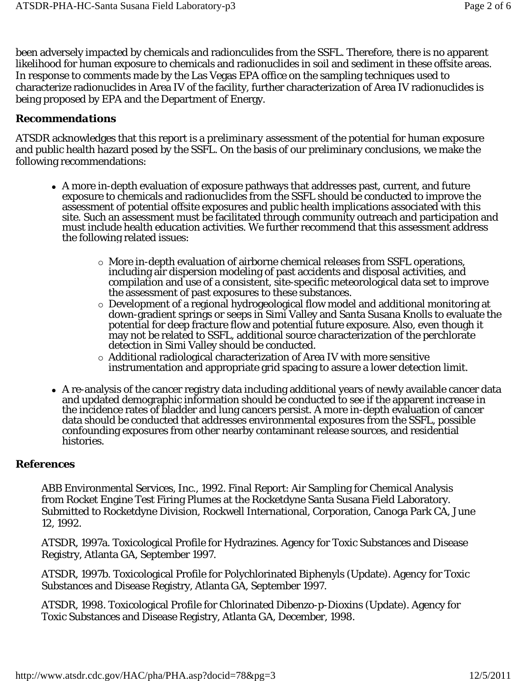been adversely impacted by chemicals and radionculides from the SSFL. Therefore, there is no apparent likelihood for human exposure to chemicals and radionuclides in soil and sediment in these offsite areas. In response to comments made by the Las Vegas EPA office on the sampling techniques used to characterize radionuclides in Area IV of the facility, further characterization of Area IV radionuclides is being proposed by EPA and the Department of Energy.

#### *Recommendations*

ATSDR acknowledges that this report is a *preliminary* assessment of the potential for human exposure and public health hazard posed by the SSFL. On the basis of our preliminary conclusions, we make the following recommendations:

- A more in-depth evaluation of exposure pathways that addresses past, current, and future exposure to chemicals and radionuclides from the SSFL should be conducted to improve the assessment of potential offsite exposures and public health implications associated with this site. Such an assessment must be facilitated through community outreach and participation and must include health education activities. We further recommend that this assessment address the following related issues:
	- More in-depth evaluation of airborne chemical releases from SSFL operations, including air dispersion modeling of past accidents and disposal activities, and compilation and use of a consistent, site-specific meteorological data set to improve the assessment of past exposures to these substances.
	- Development of a regional hydrogeological flow model and additional monitoring at down-gradient springs or seeps in Simi Valley and Santa Susana Knolls to evaluate the potential for deep fracture flow and potential future exposure. Also, even though it may not be related to SSFL, additional source characterization of the perchlorate detection in Simi Valley should be conducted.
	- Additional radiological characterization of Area IV with more sensitive instrumentation and appropriate grid spacing to assure a lower detection limit.
- A re-analysis of the cancer registry data including additional years of newly available cancer data and updated demographic information should be conducted to see if the apparent increase in the incidence rates of bladder and lung cancers persist. A more in-depth evaluation of cancer data should be conducted that addresses environmental exposures from the SSFL, possible confounding exposures from other nearby contaminant release sources, and residential histories.

#### **References**

ABB Environmental Services, Inc., 1992. Final Report: Air Sampling for Chemical Analysis from Rocket Engine Test Firing Plumes at the Rocketdyne Santa Susana Field Laboratory. Submitted to Rocketdyne Division, Rockwell International, Corporation, Canoga Park CA, June 12, 1992.

ATSDR, 1997a. Toxicological Profile for Hydrazines. Agency for Toxic Substances and Disease Registry, Atlanta GA, September 1997.

ATSDR, 1997b. Toxicological Profile for Polychlorinated Biphenyls (Update). Agency for Toxic Substances and Disease Registry, Atlanta GA, September 1997.

ATSDR, 1998. Toxicological Profile for Chlorinated Dibenzo-p-Dioxins (Update). Agency for Toxic Substances and Disease Registry, Atlanta GA, December, 1998.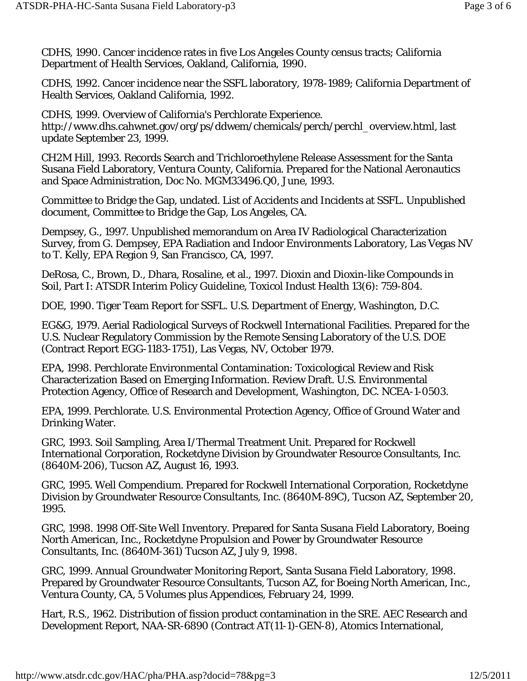CDHS, 1990. Cancer incidence rates in five Los Angeles County census tracts; California Department of Health Services, Oakland, California, 1990.

CDHS, 1992. Cancer incidence near the SSFL laboratory, 1978-1989; California Department of Health Services, Oakland California, 1992.

CDHS, 1999. Overview of California's Perchlorate Experience. http://www.dhs.cahwnet.gov/org/ps/ddwem/chemicals/perch/perchl\_overview.html, last update September 23, 1999.

CH2M Hill, 1993. Records Search and Trichloroethylene Release Assessment for the Santa Susana Field Laboratory, Ventura County, California. Prepared for the National Aeronautics and Space Administration, Doc No. MGM33496.Q0, June, 1993.

Committee to Bridge the Gap, undated. List of Accidents and Incidents at SSFL. Unpublished document, Committee to Bridge the Gap, Los Angeles, CA.

Dempsey, G., 1997. Unpublished memorandum on Area IV Radiological Characterization Survey, from G. Dempsey, EPA Radiation and Indoor Environments Laboratory, Las Vegas NV to T. Kelly, EPA Region 9, San Francisco, CA, 1997.

DeRosa, C., Brown, D., Dhara, Rosaline, et al., 1997. Dioxin and Dioxin-like Compounds in Soil, Part I: ATSDR Interim Policy Guideline, Toxicol Indust Health 13(6): 759-804.

DOE, 1990. Tiger Team Report for SSFL. U.S. Department of Energy, Washington, D.C.

EG&G, 1979. Aerial Radiological Surveys of Rockwell International Facilities. Prepared for the U.S. Nuclear Regulatory Commission by the Remote Sensing Laboratory of the U.S. DOE (Contract Report EGG-1183-1751), Las Vegas, NV, October 1979.

EPA, 1998. Perchlorate Environmental Contamination: Toxicological Review and Risk Characterization Based on Emerging Information. Review Draft. U.S. Environmental Protection Agency, Office of Research and Development, Washington, DC. NCEA-1-0503.

EPA, 1999. Perchlorate. U.S. Environmental Protection Agency, Office of Ground Water and Drinking Water.

GRC, 1993. Soil Sampling, Area I/Thermal Treatment Unit. Prepared for Rockwell International Corporation, Rocketdyne Division by Groundwater Resource Consultants, Inc. (8640M-206), Tucson AZ, August 16, 1993.

GRC, 1995. Well Compendium. Prepared for Rockwell International Corporation, Rocketdyne Division by Groundwater Resource Consultants, Inc. (8640M-89C), Tucson AZ, September 20, 1995.

GRC, 1998. 1998 Off-Site Well Inventory. Prepared for Santa Susana Field Laboratory, Boeing North American, Inc., Rocketdyne Propulsion and Power by Groundwater Resource Consultants, Inc. (8640M-361) Tucson AZ, July 9, 1998.

GRC, 1999. Annual Groundwater Monitoring Report, Santa Susana Field Laboratory, 1998. Prepared by Groundwater Resource Consultants, Tucson AZ, for Boeing North American, Inc., Ventura County, CA, 5 Volumes plus Appendices, February 24, 1999.

Hart, R.S., 1962. Distribution of fission product contamination in the SRE. AEC Research and Development Report, NAA-SR-6890 (Contract AT(11-1)-GEN-8), Atomics International,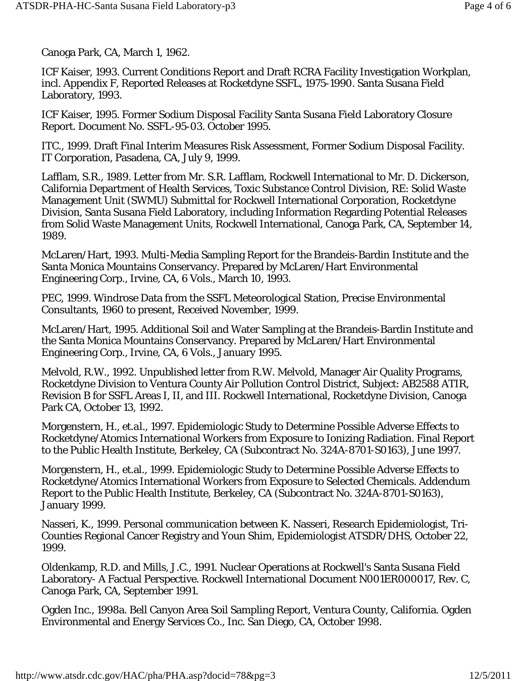Canoga Park, CA, March 1, 1962.

ICF Kaiser, 1993. Current Conditions Report and Draft RCRA Facility Investigation Workplan, incl. Appendix F, Reported Releases at Rocketdyne SSFL, 1975-1990. Santa Susana Field Laboratory, 1993.

ICF Kaiser, 1995. Former Sodium Disposal Facility Santa Susana Field Laboratory Closure Report. Document No. SSFL-95-03. October 1995.

ITC., 1999. Draft Final Interim Measures Risk Assessment, Former Sodium Disposal Facility. IT Corporation, Pasadena, CA, July 9, 1999.

Lafflam, S.R., 1989. Letter from Mr. S.R. Lafflam, Rockwell International to Mr. D. Dickerson, California Department of Health Services, Toxic Substance Control Division, RE: Solid Waste Management Unit (SWMU) Submittal for Rockwell International Corporation, Rocketdyne Division, Santa Susana Field Laboratory, including Information Regarding Potential Releases from Solid Waste Management Units, Rockwell International, Canoga Park, CA, September 14, 1989.

McLaren/Hart, 1993. Multi-Media Sampling Report for the Brandeis-Bardin Institute and the Santa Monica Mountains Conservancy. Prepared by McLaren/Hart Environmental Engineering Corp., Irvine, CA, 6 Vols., March 10, 1993.

PEC, 1999. Windrose Data from the SSFL Meteorological Station, Precise Environmental Consultants, 1960 to present, Received November, 1999.

McLaren/Hart, 1995. Additional Soil and Water Sampling at the Brandeis-Bardin Institute and the Santa Monica Mountains Conservancy. Prepared by McLaren/Hart Environmental Engineering Corp., Irvine, CA, 6 Vols., January 1995.

Melvold, R.W., 1992. Unpublished letter from R.W. Melvold, Manager Air Quality Programs, Rocketdyne Division to Ventura County Air Pollution Control District, Subject: AB2588 ATIR, Revision B for SSFL Areas I, II, and III. Rockwell International, Rocketdyne Division, Canoga Park CA, October 13, 1992.

Morgenstern, H., *et.al.*, 1997. Epidemiologic Study to Determine Possible Adverse Effects to Rocketdyne/Atomics International Workers from Exposure to Ionizing Radiation. Final Report to the Public Health Institute, Berkeley, CA (Subcontract No. 324A-8701-S0163), June 1997.

Morgenstern, H., et.al., 1999. Epidemiologic Study to Determine Possible Adverse Effects to Rocketdyne/Atomics International Workers from Exposure to Selected Chemicals. Addendum Report to the Public Health Institute, Berkeley, CA (Subcontract No. 324A-8701-S0163), January 1999.

Nasseri, K., 1999. Personal communication between K. Nasseri, Research Epidemiologist, Tri-Counties Regional Cancer Registry and Youn Shim, Epidemiologist ATSDR/DHS, October 22, 1999.

Oldenkamp, R.D. and Mills, J.C., 1991. Nuclear Operations at Rockwell's Santa Susana Field Laboratory- A Factual Perspective. Rockwell International Document N001ER000017, Rev. C, Canoga Park, CA, September 1991.

Ogden Inc., 1998a. Bell Canyon Area Soil Sampling Report, Ventura County, California. Ogden Environmental and Energy Services Co., Inc. San Diego, CA, October 1998.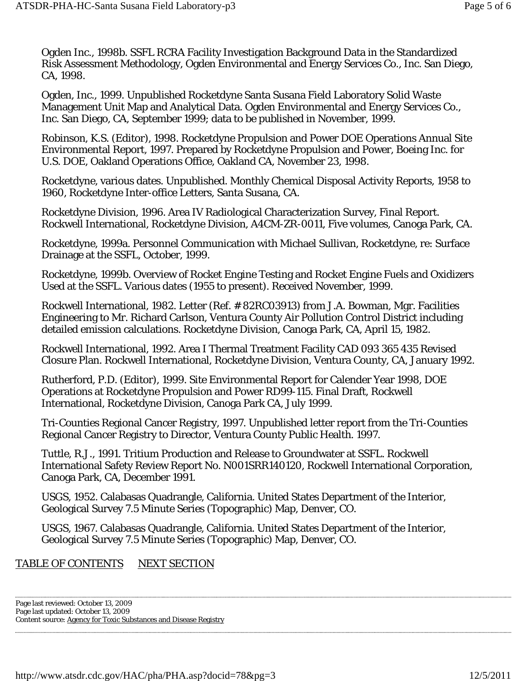Ogden Inc., 1998b. SSFL RCRA Facility Investigation Background Data in the Standardized Risk Assessment Methodology, Ogden Environmental and Energy Services Co., Inc. San Diego, CA, 1998.

Ogden, Inc., 1999. Unpublished Rocketdyne Santa Susana Field Laboratory Solid Waste Management Unit Map and Analytical Data. Ogden Environmental and Energy Services Co., Inc. San Diego, CA, September 1999; data to be published in November, 1999.

Robinson, K.S. (Editor), 1998. Rocketdyne Propulsion and Power DOE Operations Annual Site Environmental Report, 1997. Prepared by Rocketdyne Propulsion and Power, Boeing Inc. for U.S. DOE, Oakland Operations Office, Oakland CA, November 23, 1998.

Rocketdyne, various dates. Unpublished. Monthly Chemical Disposal Activity Reports, 1958 to 1960, Rocketdyne Inter-office Letters, Santa Susana, CA.

Rocketdyne Division, 1996. Area IV Radiological Characterization Survey, Final Report. Rockwell International, Rocketdyne Division, A4CM-ZR-0011, Five volumes, Canoga Park, CA.

Rocketdyne, 1999a. Personnel Communication with Michael Sullivan, Rocketdyne, re: Surface Drainage at the SSFL, October, 1999.

Rocketdyne, 1999b. Overview of Rocket Engine Testing and Rocket Engine Fuels and Oxidizers Used at the SSFL. Various dates (1955 to present). Received November, 1999.

Rockwell International, 1982. Letter (Ref. # 82RC03913) from J.A. Bowman, Mgr. Facilities Engineering to Mr. Richard Carlson, Ventura County Air Pollution Control District including detailed emission calculations. Rocketdyne Division, Canoga Park, CA, April 15, 1982.

Rockwell International, 1992. Area I Thermal Treatment Facility CAD 093 365 435 Revised Closure Plan. Rockwell International, Rocketdyne Division, Ventura County, CA, January 1992.

Rutherford, P.D. (Editor), 1999. Site Environmental Report for Calender Year 1998, DOE Operations at Rocketdyne Propulsion and Power RD99-115. Final Draft, Rockwell International, Rocketdyne Division, Canoga Park CA, July 1999.

Tri-Counties Regional Cancer Registry, 1997. Unpublished letter report from the Tri-Counties Regional Cancer Registry to Director, Ventura County Public Health. 1997.

Tuttle, R.J., 1991. Tritium Production and Release to Groundwater at SSFL. Rockwell International Safety Review Report No. N001SRR140120, Rockwell International Corporation, Canoga Park, CA, December 1991.

USGS, 1952. Calabasas Quadrangle, California. United States Department of the Interior, Geological Survey 7.5 Minute Series (Topographic) Map, Denver, CO.

USGS, 1967. Calabasas Quadrangle, California. United States Department of the Interior, Geological Survey 7.5 Minute Series (Topographic) Map, Denver, CO.

### TABLE OF CONTENTS NEXT SECTION

Page last reviewed: October 13, 2009 Page last updated: October 13, 2009 Content source: Agency for Toxic Substances and Disease Registry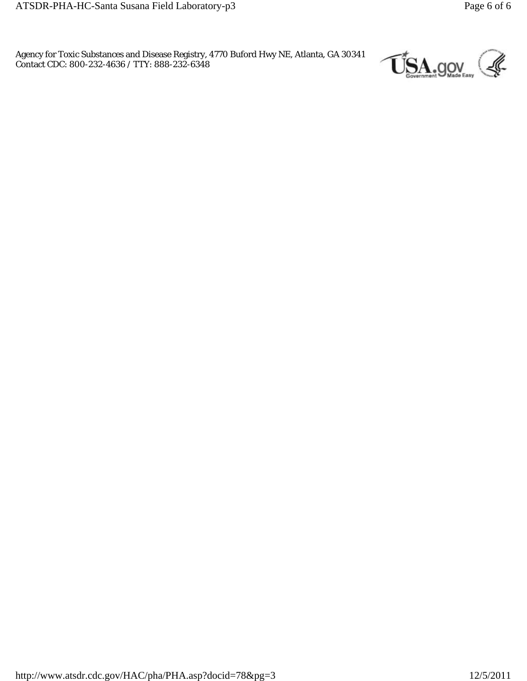Agency for Toxic Substances and Disease Registry, 4770 Buford Hwy NE, Atlanta, GA 30341 Contact CDC: 800-232-4636 / TTY: 888-232-6348

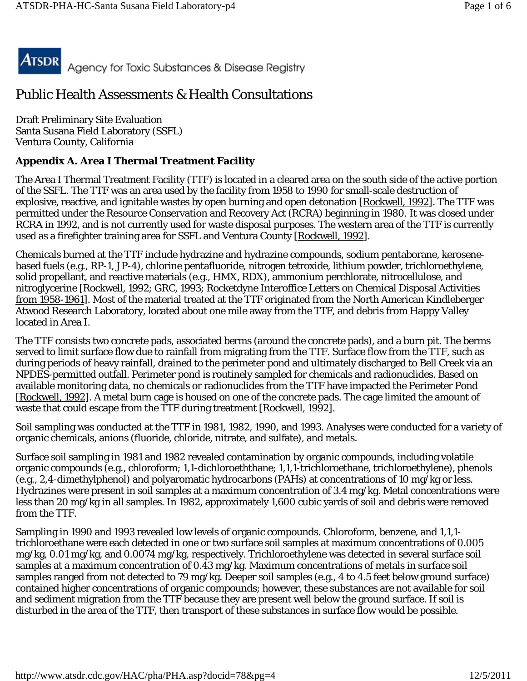

# Public Health Assessments & Health Consultations

Draft Preliminary Site Evaluation Santa Susana Field Laboratory (SSFL) Ventura County, California

### **Appendix A. Area I Thermal Treatment Facility**

The Area I Thermal Treatment Facility (TTF) is located in a cleared area on the south side of the active portion of the SSFL. The TTF was an area used by the facility from 1958 to 1990 for small-scale destruction of explosive, reactive, and ignitable wastes by open burning and open detonation [Rockwell, 1992]. The TTF was permitted under the Resource Conservation and Recovery Act (RCRA) beginning in 1980. It was closed under RCRA in 1992, and is not currently used for waste disposal purposes. The western area of the TTF is currently used as a firefighter training area for SSFL and Ventura County [Rockwell, 1992].

Chemicals burned at the TTF include hydrazine and hydrazine compounds, sodium pentaborane, kerosenebased fuels (e.g., RP-1, JP-4), chlorine pentafluoride, nitrogen tetroxide, lithium powder, trichloroethylene, solid propellant, and reactive materials (e.g., HMX, RDX), ammonium perchlorate, nitrocellulose, and nitroglycerine [Rockwell, 1992; GRC, 1993; Rocketdyne Interoffice Letters on Chemical Disposal Activities from 1958-1961]. Most of the material treated at the TTF originated from the North American Kindleberger Atwood Research Laboratory, located about one mile away from the TTF, and debris from Happy Valley located in Area I.

The TTF consists two concrete pads, associated berms (around the concrete pads), and a burn pit. The berms served to limit surface flow due to rainfall from migrating from the TTF. Surface flow from the TTF, such as during periods of heavy rainfall, drained to the perimeter pond and ultimately discharged to Bell Creek via an NPDES-permitted outfall. Perimeter pond is routinely sampled for chemicals and radionuclides. Based on available monitoring data, no chemicals or radionuclides from the TTF have impacted the Perimeter Pond [Rockwell, 1992]. A metal burn cage is housed on one of the concrete pads. The cage limited the amount of waste that could escape from the TTF during treatment [Rockwell, 1992].

Soil sampling was conducted at the TTF in 1981, 1982, 1990, and 1993. Analyses were conducted for a variety of organic chemicals, anions (fluoride, chloride, nitrate, and sulfate), and metals.

Surface soil sampling in 1981 and 1982 revealed contamination by organic compounds, including volatile organic compounds (e.g., chloroform; 1,1-dichloroeththane; 1,1,1-trichloroethane, trichloroethylene), phenols (e.g., 2,4-dimethylphenol) and polyaromatic hydrocarbons (PAHs) at concentrations of 10 mg/kg or less. Hydrazines were present in soil samples at a maximum concentration of 3.4 mg/kg. Metal concentrations were less than 20 mg/kg in all samples. In 1982, approximately 1,600 cubic yards of soil and debris were removed from the TTF.

Sampling in 1990 and 1993 revealed low levels of organic compounds. Chloroform, benzene, and 1,1,1 trichloroethane were each detected in one or two surface soil samples at maximum concentrations of 0.005 mg/kg, 0.01 mg/kg, and 0.0074 mg/kg, respectively. Trichloroethylene was detected in several surface soil samples at a maximum concentration of 0.43 mg/kg. Maximum concentrations of metals in surface soil samples ranged from not detected to 79 mg/kg. Deeper soil samples (e.g., 4 to 4.5 feet below ground surface) contained higher concentrations of organic compounds; however, these substances are not available for soil and sediment migration from the TTF because they are present well below the ground surface. If soil is disturbed in the area of the TTF, then transport of these substances in surface flow would be possible.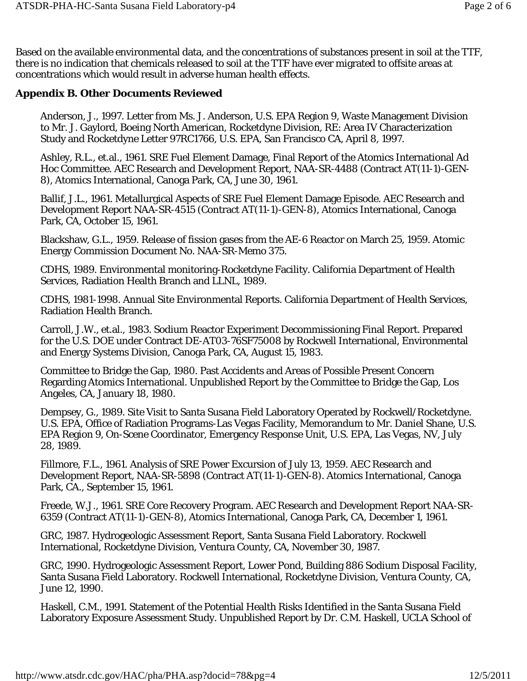Based on the available environmental data, and the concentrations of substances present in soil at the TTF, there is no indication that chemicals released to soil at the TTF have ever migrated to offsite areas at concentrations which would result in adverse human health effects.

#### **Appendix B. Other Documents Reviewed**

Anderson, J., 1997. Letter from Ms. J. Anderson, U.S. EPA Region 9, Waste Management Division to Mr. J. Gaylord, Boeing North American, Rocketdyne Division, RE: Area IV Characterization Study and Rocketdyne Letter 97RC1766, U.S. EPA, San Francisco CA, April 8, 1997.

Ashley, R.L., et.al., 1961. SRE Fuel Element Damage, Final Report of the Atomics International Ad Hoc Committee. AEC Research and Development Report, NAA-SR-4488 (Contract AT(11-1)-GEN-8), Atomics International, Canoga Park, CA, June 30, 1961.

Ballif, J.L., 1961. Metallurgical Aspects of SRE Fuel Element Damage Episode. AEC Research and Development Report NAA-SR-4515 (Contract AT(11-1)-GEN-8), Atomics International, Canoga Park, CA, October 15, 1961.

Blackshaw, G.L., 1959. Release of fission gases from the AE-6 Reactor on March 25, 1959. Atomic Energy Commission Document No. NAA-SR-Memo 375.

CDHS, 1989. Environmental monitoring-Rocketdyne Facility. California Department of Health Services, Radiation Health Branch and LLNL, 1989.

CDHS, 1981-1998. Annual Site Environmental Reports. California Department of Health Services, Radiation Health Branch.

Carroll, J.W., et.al., 1983. Sodium Reactor Experiment Decommissioning Final Report. Prepared for the U.S. DOE under Contract DE-AT03-76SF75008 by Rockwell International, Environmental and Energy Systems Division, Canoga Park, CA, August 15, 1983.

Committee to Bridge the Gap, 1980. Past Accidents and Areas of Possible Present Concern Regarding Atomics International. Unpublished Report by the Committee to Bridge the Gap, Los Angeles, CA, January 18, 1980.

Dempsey, G., 1989. Site Visit to Santa Susana Field Laboratory Operated by Rockwell/Rocketdyne. U.S. EPA, Office of Radiation Programs-Las Vegas Facility, Memorandum to Mr. Daniel Shane, U.S. EPA Region 9, On-Scene Coordinator, Emergency Response Unit, U.S. EPA, Las Vegas, NV, July 28, 1989.

Fillmore, F.L., 1961. Analysis of SRE Power Excursion of July 13, 1959. AEC Research and Development Report, NAA-SR-5898 (Contract AT(11-1)-GEN-8). Atomics International, Canoga Park, CA., September 15, 1961.

Freede, W.J., 1961. SRE Core Recovery Program. AEC Research and Development Report NAA-SR-6359 (Contract AT(11-1)-GEN-8), Atomics International, Canoga Park, CA, December 1, 1961.

GRC, 1987. Hydrogeologic Assessment Report, Santa Susana Field Laboratory. Rockwell International, Rocketdyne Division, Ventura County, CA, November 30, 1987.

GRC, 1990. Hydrogeologic Assessment Report, Lower Pond, Building 886 Sodium Disposal Facility, Santa Susana Field Laboratory. Rockwell International, Rocketdyne Division, Ventura County, CA, June 12, 1990.

Haskell, C.M., 1991. Statement of the Potential Health Risks Identified in the Santa Susana Field Laboratory Exposure Assessment Study. Unpublished Report by Dr. C.M. Haskell, UCLA School of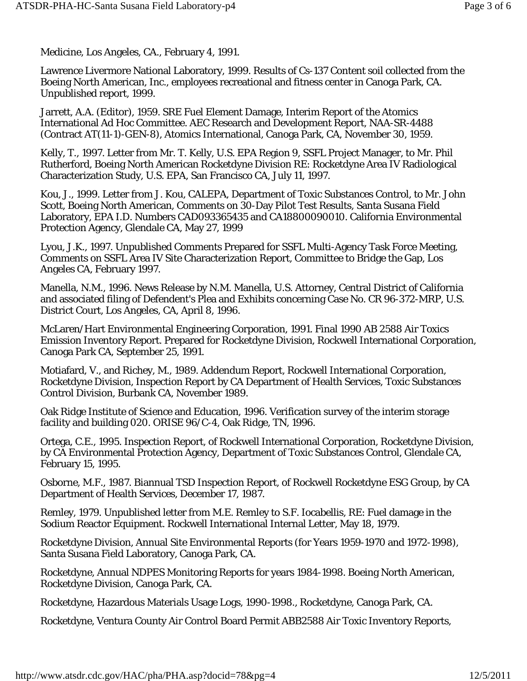Medicine, Los Angeles, CA., February 4, 1991.

Lawrence Livermore National Laboratory, 1999. Results of Cs-137 Content soil collected from the Boeing North American, Inc., employees recreational and fitness center in Canoga Park, CA. Unpublished report, 1999.

Jarrett, A.A. (Editor), 1959. SRE Fuel Element Damage, Interim Report of the Atomics International Ad Hoc Committee. AEC Research and Development Report, NAA-SR-4488 (Contract AT(11-1)-GEN-8), Atomics International, Canoga Park, CA, November 30, 1959.

Kelly, T., 1997. Letter from Mr. T. Kelly, U.S. EPA Region 9, SSFL Project Manager, to Mr. Phil Rutherford, Boeing North American Rocketdyne Division RE: Rocketdyne Area IV Radiological Characterization Study, U.S. EPA, San Francisco CA, July 11, 1997.

Kou, J., 1999. Letter from J. Kou, CALEPA, Department of Toxic Substances Control, to Mr. John Scott, Boeing North American, Comments on 30-Day Pilot Test Results, Santa Susana Field Laboratory, EPA I.D. Numbers CAD093365435 and CA18800090010. California Environmental Protection Agency, Glendale CA, May 27, 1999

Lyou, J.K., 1997. Unpublished Comments Prepared for SSFL Multi-Agency Task Force Meeting, Comments on SSFL Area IV Site Characterization Report, Committee to Bridge the Gap, Los Angeles CA, February 1997.

Manella, N.M., 1996. News Release by N.M. Manella, U.S. Attorney, Central District of California and associated filing of Defendent's Plea and Exhibits concerning Case No. CR 96-372-MRP, U.S. District Court, Los Angeles, CA, April 8, 1996.

McLaren/Hart Environmental Engineering Corporation, 1991. Final 1990 AB 2588 Air Toxics Emission Inventory Report. Prepared for Rocketdyne Division, Rockwell International Corporation, Canoga Park CA, September 25, 1991.

Motiafard, V., and Richey, M., 1989. Addendum Report, Rockwell International Corporation, Rocketdyne Division, Inspection Report by CA Department of Health Services, Toxic Substances Control Division, Burbank CA, November 1989.

Oak Ridge Institute of Science and Education, 1996. Verification survey of the interim storage facility and building 020. ORISE 96/C-4, Oak Ridge, TN, 1996.

Ortega, C.E., 1995. Inspection Report, of Rockwell International Corporation, Rocketdyne Division, by CA Environmental Protection Agency, Department of Toxic Substances Control, Glendale CA, February 15, 1995.

Osborne, M.F., 1987. Biannual TSD Inspection Report, of Rockwell Rocketdyne ESG Group, by CA Department of Health Services, December 17, 1987.

Remley, 1979. Unpublished letter from M.E. Remley to S.F. Iocabellis, RE: Fuel damage in the Sodium Reactor Equipment. Rockwell International Internal Letter, May 18, 1979.

Rocketdyne Division, Annual Site Environmental Reports (for Years 1959-1970 and 1972-1998), Santa Susana Field Laboratory, Canoga Park, CA.

Rocketdyne, Annual NDPES Monitoring Reports for years 1984-1998. Boeing North American, Rocketdyne Division, Canoga Park, CA.

Rocketdyne, Hazardous Materials Usage Logs, 1990-1998., Rocketdyne, Canoga Park, CA.

Rocketdyne, Ventura County Air Control Board Permit ABB2588 Air Toxic Inventory Reports,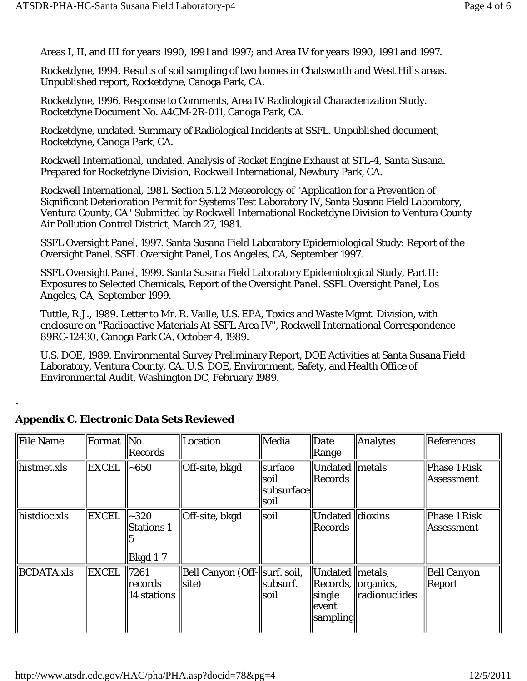Areas I, II, and III for years 1990, 1991 and 1997; and Area IV for years 1990, 1991 and 1997.

Rocketdyne, 1994. Results of soil sampling of two homes in Chatsworth and West Hills areas. Unpublished report, Rocketdyne, Canoga Park, CA.

Rocketdyne, 1996. Response to Comments, Area IV Radiological Characterization Study. Rocketdyne Document No. A4CM-2R-011, Canoga Park, CA.

Rocketdyne, undated. Summary of Radiological Incidents at SSFL. Unpublished document, Rocketdyne, Canoga Park, CA.

Rockwell International, undated. Analysis of Rocket Engine Exhaust at STL-4, Santa Susana. Prepared for Rocketdyne Division, Rockwell International, Newbury Park, CA.

Rockwell International, 1981. Section 5.1.2 Meteorology of "Application for a Prevention of Significant Deterioration Permit for Systems Test Laboratory IV, Santa Susana Field Laboratory, Ventura County, CA" Submitted by Rockwell International Rocketdyne Division to Ventura County Air Pollution Control District, March 27, 1981.

SSFL Oversight Panel, 1997. Santa Susana Field Laboratory Epidemiological Study: Report of the Oversight Panel. SSFL Oversight Panel, Los Angeles, CA, September 1997.

SSFL Oversight Panel, 1999. Santa Susana Field Laboratory Epidemiological Study, Part II: Exposures to Selected Chemicals, Report of the Oversight Panel. SSFL Oversight Panel, Los Angeles, CA, September 1999.

Tuttle, R.J., 1989. Letter to Mr. R. Vaille, U.S. EPA, Toxics and Waste Mgmt. Division, with enclosure on "Radioactive Materials At SSFL Area IV", Rockwell International Correspondence 89RC-12430, Canoga Park CA, October 4, 1989.

U.S. DOE, 1989. Environmental Survey Preliminary Report, DOE Activities at Santa Susana Field Laboratory, Ventura County, CA. U.S. DOE, Environment, Safety, and Health Office of Environmental Audit, Washington DC, February 1989.

| File Name              | Format       | $\parallel$ No.<br>Records                        | Location                                | Media                                    | $\ $ Date<br>$\ $ Range                                                              | Analytes             | <b>References</b>                        |
|------------------------|--------------|---------------------------------------------------|-----------------------------------------|------------------------------------------|--------------------------------------------------------------------------------------|----------------------|------------------------------------------|
| histmet.xls            | <b>EXCEL</b> | $\sim$ 650                                        | Off-site, bkgd                          | surface<br>soil<br> subsurface  <br>soil | Undated   metals<br>Records                                                          |                      | <b>Phase 1 Risk</b><br><b>Assessment</b> |
| histdioc.xls           | <b>EXCEL</b> | $ $ ~320<br><b>Stations 1-</b><br><b>Bkgd 1-7</b> | Off-site, bkgd                          | soil                                     | Undated dioxins<br>Records                                                           |                      | Phase 1 Risk<br>Assessment               |
| $\parallel$ BCDATA.xls | <b>EXCEL</b> | 7261<br>records<br>14 stations                    | Bell Canyon (Off-  surf. soil,<br>site) | subsurf.<br>soil                         | Undated metals,<br>$\Re$ Records, $\Re$ organics,<br>single<br>llevent<br>  sampling | <i>cadionuclides</i> | <b>Bell Canyon</b><br>Report             |

### **Appendix C. Electronic Data Sets Reviewed**

.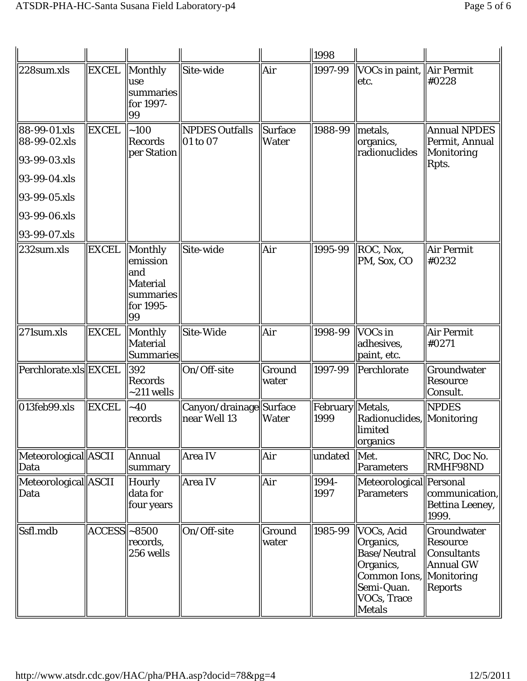|                                                                                                                                             |                  |                                                                               |                                          |                                | $\ 1998\ $                 |                                                                                                                                      |                                                                 |
|---------------------------------------------------------------------------------------------------------------------------------------------|------------------|-------------------------------------------------------------------------------|------------------------------------------|--------------------------------|----------------------------|--------------------------------------------------------------------------------------------------------------------------------------|-----------------------------------------------------------------|
| $ 228$ sum.xls                                                                                                                              | <b>EXCEL</b>     | $\ $ Monthly<br>use<br>summaries<br>for 1997-<br>99                           | Site-wide                                | Air                            | 1997-99                    | VOCs in paint, Air Permit<br>etc.                                                                                                    | #0228                                                           |
| $ 88-99-01$ x s<br>88-99-02.xls<br>$ 93 - 99 - 03$ .xls<br>$ 93-99-04$ .xls<br>$ 93 - 99 - 05$ .xls<br>93-99-06.xls<br>$ 93 - 99 - 07$ .xls | <b>EXCEL</b>     | ~100<br><b>Records</b><br>per Station                                         | <b>NPDES Outfalls</b><br>01 to 07        | <b>Surface</b><br><b>Water</b> | 1988-99                    | metals,<br>organics,<br>radionuclides                                                                                                | <b>Annual NPDES</b><br>Permit, Annual<br>Monitoring<br>Rpts.    |
| $ 232$ sum.xls                                                                                                                              | <b>EXCEL</b>     | Monthly<br>emission<br>and<br><b>Material</b><br>summaries<br>for 1995-<br>99 | Site-wide                                | Air                            | 1995-99                    | ROC, Nox,<br>PM, Sox, CO                                                                                                             | Air Permit<br>#0232                                             |
| $ 271$ sum.x $ s $                                                                                                                          | <b>EXCEL</b>     | Monthly<br><b>Material</b><br><b>Summaries</b>                                | Site-Wide                                | Air                            | 1998-99                    | $\sqrt{\frac{1}{10}}$<br>adhesives,<br>paint, etc.                                                                                   | Air Permit<br>#0271                                             |
| Perchlorate.xls EXCEL                                                                                                                       |                  | 392<br>Records<br>$-211$ wells                                                | On/Off-site                              | Ground<br>water                | 1997-99                    | Perchlorate                                                                                                                          | Groundwater<br>Resource<br>Consult.                             |
| $ 013$ feb $99.x$ ls                                                                                                                        | <b>EXCEL</b>     | ~10<br>records                                                                | Canyon/drainage  Surface<br>near Well 13 | <b>Water</b>                   | February   Metals,<br>1999 | Radionuclides, Monitoring<br><b>limited</b><br>organics                                                                              | <b>NPDES</b>                                                    |
| Meteorological ASCII<br>Data                                                                                                                |                  | Annual<br>summary                                                             | Area IV                                  | Air                            | undated  Met.              | Parameters                                                                                                                           | NRC, Doc No.<br><b>RMHF98ND</b>                                 |
| Meteorological  ASCII<br>Data                                                                                                               |                  | <b>Hourly</b><br>data for<br>four years                                       | Area IV                                  | Air                            | 1994-<br>1997              | Meteorological Personal<br>Parameters                                                                                                | communication,<br>Bettina Leeney,<br>1999.                      |
| Ssfl.mdb                                                                                                                                    | $ACCESS$   ~8500 | records,<br>256 wells                                                         | On/Off-site                              | Ground<br>water                | 1985-99                    | VOCs, Acid<br>Organics,<br><b>Base/Neutral</b><br>Organics,<br>Common Ions, Monitoring<br>Semi-Quan.<br><b>VOCs, Trace</b><br>Metals | Groundwater<br>Resource<br>Consultants<br>Annual GW <br>Reports |